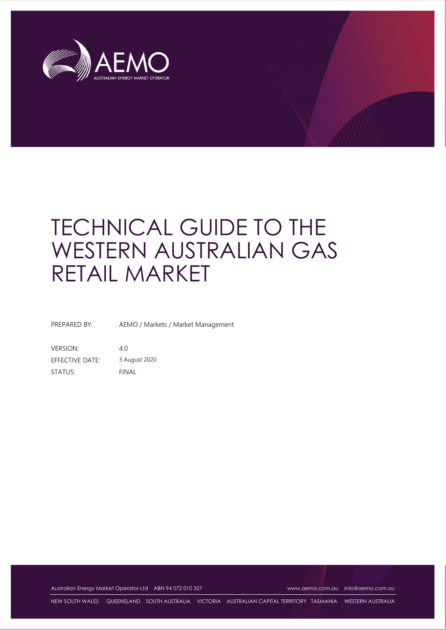

# TECHNICAL GUIDE TO THE WESTERN AUSTRALIAN GAS RETAIL MARKET

PREPARED BY: AEMO / Markets / Market Management

VERSION: 4.0 EFFECTIVE DATE: 3 August 2020 STATUS: FINAL

Australian Energy Market Operator Ltd ABN 94 072 010 327 [www.aemo.com.au](http://www.aemo.com.au/) [info@aemo.com.au](mailto:info@aemo.com.au)

NEW SOUTH WALES QUEENSLAND SOUTH AUSTRALIA VICTORIA AUSTRALIAN CAPITAL TERRITORY TASMANIA WESTERN AUSTRALIA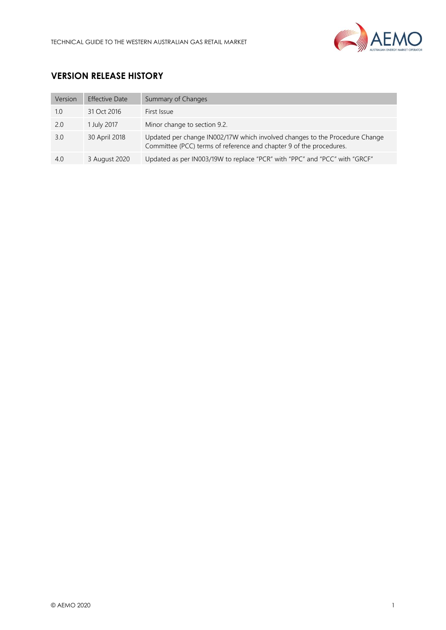

# **VERSION RELEASE HISTORY**

| Version | <b>Effective Date</b> | Summary of Changes                                                                                                                                 |
|---------|-----------------------|----------------------------------------------------------------------------------------------------------------------------------------------------|
| 1.0     | 31 Oct 2016           | First Issue                                                                                                                                        |
| 2.0     | 1 July 2017           | Minor change to section 9.2.                                                                                                                       |
| 3.0     | 30 April 2018         | Updated per change IN002/17W which involved changes to the Procedure Change<br>Committee (PCC) terms of reference and chapter 9 of the procedures. |
| 4.0     | 3 August 2020         | Updated as per IN003/19W to replace "PCR" with "PPC" and "PCC" with "GRCF"                                                                         |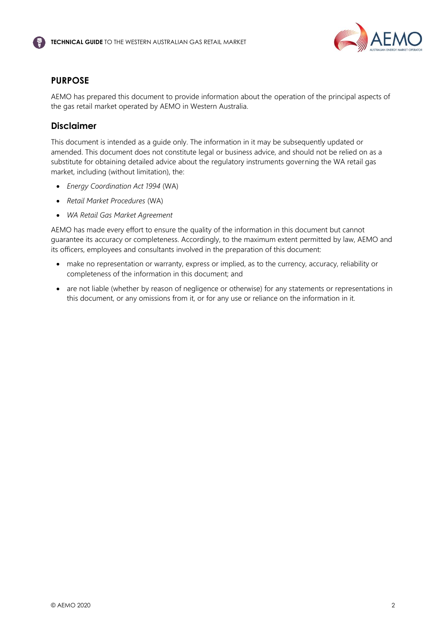

## <span id="page-2-0"></span>**PURPOSE**

AEMO has prepared this document to provide information about the operation of the principal aspects of the gas retail market operated by AEMO in Western Australia.

## <span id="page-2-1"></span>**Disclaimer**

This document is intended as a guide only. The information in it may be subsequently updated or amended. This document does not constitute legal or business advice, and should not be relied on as a substitute for obtaining detailed advice about the regulatory instruments governing the WA retail gas market, including (without limitation), the:

- *Energy Coordination Act 1994* (WA)
- *Retail Market Procedures* (WA)
- *WA Retail Gas Market Agreement*

AEMO has made every effort to ensure the quality of the information in this document but cannot guarantee its accuracy or completeness. Accordingly, to the maximum extent permitted by law, AEMO and its officers, employees and consultants involved in the preparation of this document:

- make no representation or warranty, express or implied, as to the currency, accuracy, reliability or completeness of the information in this document; and
- are not liable (whether by reason of negligence or otherwise) for any statements or representations in this document, or any omissions from it, or for any use or reliance on the information in it.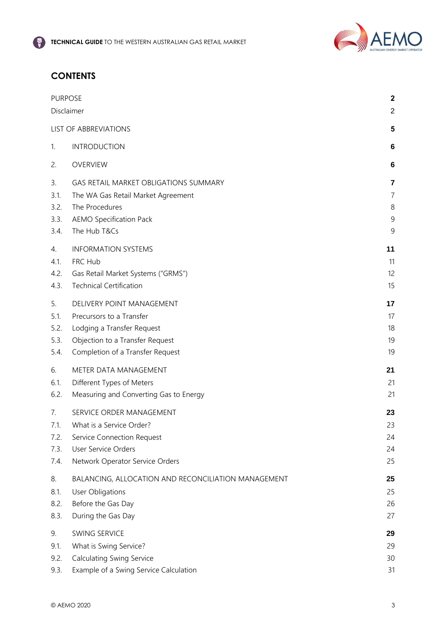

# **CONTENTS**

|                      | <b>PURPOSE</b>                                                                                       |                          |  |
|----------------------|------------------------------------------------------------------------------------------------------|--------------------------|--|
|                      | Disclaimer                                                                                           |                          |  |
|                      | LIST OF ABBREVIATIONS                                                                                | 5                        |  |
| 1.                   | <b>INTRODUCTION</b>                                                                                  | 6                        |  |
| 2.                   | <b>OVERVIEW</b>                                                                                      | 6                        |  |
| 3.<br>3.1.<br>3.2.   | <b>GAS RETAIL MARKET OBLIGATIONS SUMMARY</b><br>The WA Gas Retail Market Agreement<br>The Procedures | 7<br>$\overline{7}$<br>8 |  |
| 3.3.<br>3.4.         | <b>AEMO Specification Pack</b><br>The Hub T&Cs                                                       | 9<br>9                   |  |
| 4.                   | <b>INFORMATION SYSTEMS</b>                                                                           | 11                       |  |
| 4.1.<br>4.2.<br>4.3. | FRC Hub<br>Gas Retail Market Systems ("GRMS")<br><b>Technical Certification</b>                      | 11<br>12<br>15           |  |
| 5.                   | DELIVERY POINT MANAGEMENT                                                                            | 17                       |  |
| 5.1.                 | Precursors to a Transfer                                                                             | 17                       |  |
| 5.2.                 | Lodging a Transfer Request                                                                           | 18                       |  |
| 5.3.                 | Objection to a Transfer Request                                                                      | 19                       |  |
| 5.4.                 | Completion of a Transfer Request                                                                     | 19                       |  |
| 6.                   | METER DATA MANAGEMENT                                                                                | 21                       |  |
| 6.1.                 | Different Types of Meters                                                                            | 21                       |  |
| 6.2.                 | Measuring and Converting Gas to Energy                                                               | 21                       |  |
| 7.                   | SERVICE ORDER MANAGEMENT                                                                             | 23                       |  |
| 7.1.                 | What is a Service Order?                                                                             | 23                       |  |
| 7.2.                 | Service Connection Request                                                                           | 24                       |  |
| 7.3.                 | User Service Orders                                                                                  | 24                       |  |
| 7.4.                 | Network Operator Service Orders                                                                      | 25                       |  |
| 8.                   | BALANCING, ALLOCATION AND RECONCILIATION MANAGEMENT                                                  | 25                       |  |
| 8.1.                 | <b>User Obligations</b>                                                                              | 25                       |  |
| 8.2.                 | Before the Gas Day                                                                                   | 26                       |  |
| 8.3.                 | During the Gas Day                                                                                   | 27                       |  |
| 9.                   | SWING SERVICE                                                                                        | 29                       |  |
| 9.1.                 | What is Swing Service?                                                                               | 29                       |  |
| 9.2.                 | <b>Calculating Swing Service</b>                                                                     | 30                       |  |
| 9.3.                 | Example of a Swing Service Calculation                                                               | 31                       |  |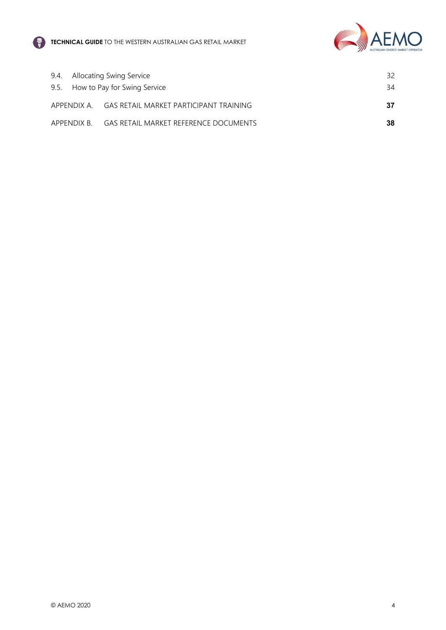



| 9.4. Allocating Swing Service     |                                                    | 32  |
|-----------------------------------|----------------------------------------------------|-----|
| 9.5. How to Pay for Swing Service |                                                    | 34  |
|                                   | APPENDIX A. GAS RETAIL MARKET PARTICIPANT TRAINING | -37 |
|                                   | APPENDIX B. GAS RETAIL MARKET REFERENCE DOCUMENTS  | 38  |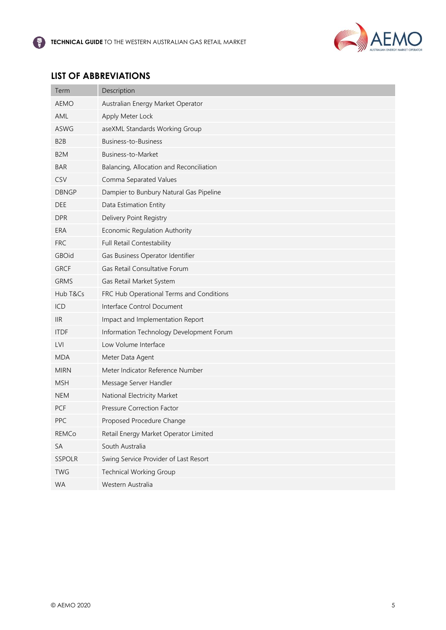

# <span id="page-5-0"></span>**LIST OF ABBREVIATIONS**

| Term             | Description                              |
|------------------|------------------------------------------|
| <b>AEMO</b>      | Australian Energy Market Operator        |
| AML              | Apply Meter Lock                         |
| <b>ASWG</b>      | aseXML Standards Working Group           |
| B <sub>2</sub> B | Business-to-Business                     |
| B <sub>2</sub> M | Business-to-Market                       |
| <b>BAR</b>       | Balancing, Allocation and Reconciliation |
| CSV              | Comma Separated Values                   |
| <b>DBNGP</b>     | Dampier to Bunbury Natural Gas Pipeline  |
| <b>DEE</b>       | Data Estimation Entity                   |
| <b>DPR</b>       | Delivery Point Registry                  |
| ERA              | Economic Regulation Authority            |
| <b>FRC</b>       | Full Retail Contestability               |
| <b>GBOid</b>     | Gas Business Operator Identifier         |
| <b>GRCF</b>      | Gas Retail Consultative Forum            |
| <b>GRMS</b>      | Gas Retail Market System                 |
| Hub T&Cs         | FRC Hub Operational Terms and Conditions |
| ICD              | Interface Control Document               |
| <b>IIR</b>       | Impact and Implementation Report         |
| <b>ITDF</b>      | Information Technology Development Forum |
| <b>LVI</b>       | Low Volume Interface                     |
| <b>MDA</b>       | Meter Data Agent                         |
| <b>MIRN</b>      | Meter Indicator Reference Number         |
| <b>MSH</b>       | Message Server Handler                   |
| <b>NEM</b>       | National Electricity Market              |
| PCF              | Pressure Correction Factor               |
| PPC              | Proposed Procedure Change                |
| REMCo            | Retail Energy Market Operator Limited    |
| SA               | South Australia                          |
| SSPOLR           | Swing Service Provider of Last Resort    |
| <b>TWG</b>       | Technical Working Group                  |
| <b>WA</b>        | Western Australia                        |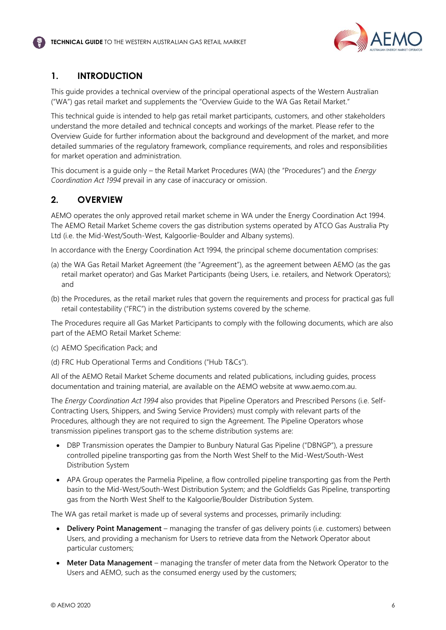

# <span id="page-6-0"></span>**1. INTRODUCTION**

This guide provides a technical overview of the principal operational aspects of the Western Australian ("WA") gas retail market and supplements the "Overview Guide to the WA Gas Retail Market."

This technical guide is intended to help gas retail market participants, customers, and other stakeholders understand the more detailed and technical concepts and workings of the market. Please refer to the Overview Guide for further information about the background and development of the market, and more detailed summaries of the regulatory framework, compliance requirements, and roles and responsibilities for market operation and administration.

This document is a guide only – the Retail Market Procedures (WA) (the "Procedures") and the *Energy Coordination Act 1994* prevail in any case of inaccuracy or omission.

# <span id="page-6-1"></span>**2. OVERVIEW**

AEMO operates the only approved retail market scheme in WA under the Energy Coordination Act 1994. The AEMO Retail Market Scheme covers the gas distribution systems operated by ATCO Gas Australia Pty Ltd (i.e. the Mid-West/South-West, Kalgoorlie-Boulder and Albany systems).

In accordance with the Energy Coordination Act 1994, the principal scheme documentation comprises:

- (a) the WA Gas Retail Market Agreement (the "Agreement"), as the agreement between AEMO (as the gas retail market operator) and Gas Market Participants (being Users, i.e. retailers, and Network Operators); and
- (b) the Procedures, as the retail market rules that govern the requirements and process for practical gas full retail contestability ("FRC") in the distribution systems covered by the scheme.

The Procedures require all Gas Market Participants to comply with the following documents, which are also part of the AEMO Retail Market Scheme:

- (c) AEMO Specification Pack; and
- (d) FRC Hub Operational Terms and Conditions ("Hub T&Cs").

All of the AEMO Retail Market Scheme documents and related publications, including guides, process documentation and training material, are available on the AEMO website at www.aemo.com.au.

The *Energy Coordination Act 1994* also provides that Pipeline Operators and Prescribed Persons (i.e. Self-Contracting Users, Shippers, and Swing Service Providers) must comply with relevant parts of the Procedures, although they are not required to sign the Agreement. The Pipeline Operators whose transmission pipelines transport gas to the scheme distribution systems are:

- DBP Transmission operates the Dampier to Bunbury Natural Gas Pipeline ("DBNGP"), a pressure controlled pipeline transporting gas from the North West Shelf to the Mid-West/South-West Distribution System
- APA Group operates the Parmelia Pipeline, a flow controlled pipeline transporting gas from the Perth basin to the Mid-West/South-West Distribution System; and the Goldfields Gas Pipeline, transporting gas from the North West Shelf to the Kalgoorlie/Boulder Distribution System.

The WA gas retail market is made up of several systems and processes, primarily including:

- **Delivery Point Management**  managing the transfer of gas delivery points (i.e. customers) between Users, and providing a mechanism for Users to retrieve data from the Network Operator about particular customers;
- **Meter Data Management**  managing the transfer of meter data from the Network Operator to the Users and AEMO, such as the consumed energy used by the customers;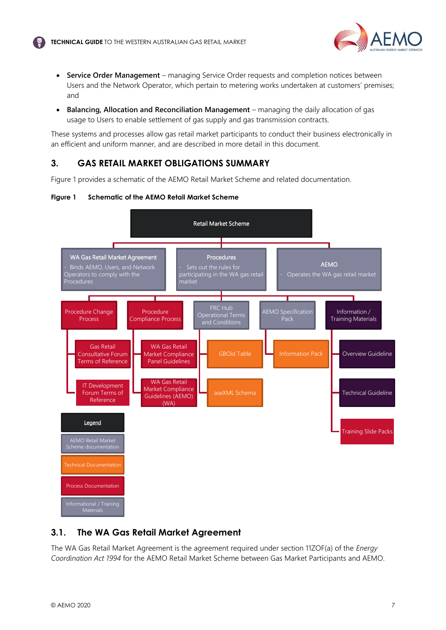

- **Service Order Management**  managing Service Order requests and completion notices between Users and the Network Operator, which pertain to metering works undertaken at customers' premises; and
- **Balancing, Allocation and Reconciliation Management**  managing the daily allocation of gas usage to Users to enable settlement of gas supply and gas transmission contracts.

These systems and processes allow gas retail market participants to conduct their business electronically in an efficient and uniform manner, and are described in more detail in this document.

## <span id="page-7-0"></span>**3. GAS RETAIL MARKET OBLIGATIONS SUMMARY**

Figure 1 provides a schematic of the AEMO Retail Market Scheme and related documentation.





## <span id="page-7-1"></span>**3.1. The WA Gas Retail Market Agreement**

The WA Gas Retail Market Agreement is the agreement required under section 11ZOF(a) of the *Energy Coordination Act 1994* for the AEMO Retail Market Scheme between Gas Market Participants and AEMO.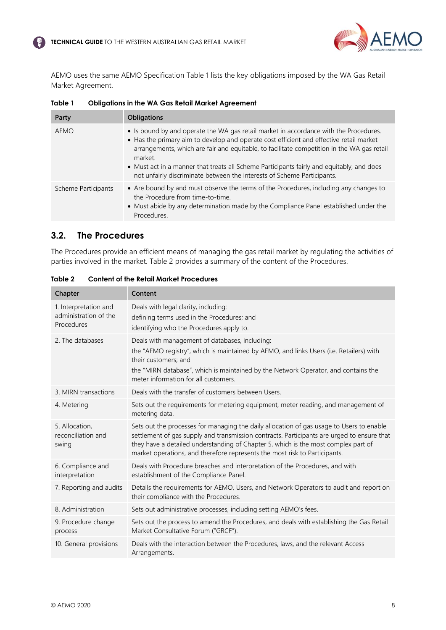

AEMO uses the same AEMO Specification Table 1 lists the key obligations imposed by the WA Gas Retail Market Agreement.

| Party               | <b>Obligations</b>                                                                                                                                                                                                                                                                                                                                                                                                                                                |
|---------------------|-------------------------------------------------------------------------------------------------------------------------------------------------------------------------------------------------------------------------------------------------------------------------------------------------------------------------------------------------------------------------------------------------------------------------------------------------------------------|
| AEMO                | • Is bound by and operate the WA gas retail market in accordance with the Procedures.<br>• Has the primary aim to develop and operate cost efficient and effective retail market<br>arrangements, which are fair and equitable, to facilitate competition in the WA gas retail<br>market.<br>• Must act in a manner that treats all Scheme Participants fairly and equitably, and does<br>not unfairly discriminate between the interests of Scheme Participants. |
| Scheme Participants | • Are bound by and must observe the terms of the Procedures, including any changes to<br>the Procedure from time-to-time.<br>• Must abide by any determination made by the Compliance Panel established under the<br>Procedures.                                                                                                                                                                                                                                  |

**Table 1 Obligations in the WA Gas Retail Market Agreement**

## <span id="page-8-0"></span>**3.2. The Procedures**

The Procedures provide an efficient means of managing the gas retail market by regulating the activities of parties involved in the market. Table 2 provides a summary of the content of the Procedures.

| Chapter                                                      | Content                                                                                                                                                                                                                                                                                                                                                    |
|--------------------------------------------------------------|------------------------------------------------------------------------------------------------------------------------------------------------------------------------------------------------------------------------------------------------------------------------------------------------------------------------------------------------------------|
| 1. Interpretation and<br>administration of the<br>Procedures | Deals with legal clarity, including:<br>defining terms used in the Procedures; and<br>identifying who the Procedures apply to.                                                                                                                                                                                                                             |
| 2. The databases                                             | Deals with management of databases, including:<br>the "AEMO registry", which is maintained by AEMO, and links Users (i.e. Retailers) with<br>their customers: and<br>the "MIRN database", which is maintained by the Network Operator, and contains the<br>meter information for all customers.                                                            |
| 3. MIRN transactions                                         | Deals with the transfer of customers between Users.                                                                                                                                                                                                                                                                                                        |
| 4. Metering                                                  | Sets out the requirements for metering equipment, meter reading, and management of<br>metering data.                                                                                                                                                                                                                                                       |
| 5. Allocation.<br>reconciliation and<br>swing                | Sets out the processes for managing the daily allocation of gas usage to Users to enable<br>settlement of gas supply and transmission contracts. Participants are urged to ensure that<br>they have a detailed understanding of Chapter 5, which is the most complex part of<br>market operations, and therefore represents the most risk to Participants. |
| 6. Compliance and<br>interpretation                          | Deals with Procedure breaches and interpretation of the Procedures, and with<br>establishment of the Compliance Panel.                                                                                                                                                                                                                                     |
| 7. Reporting and audits                                      | Details the requirements for AEMO, Users, and Network Operators to audit and report on<br>their compliance with the Procedures.                                                                                                                                                                                                                            |
| 8. Administration                                            | Sets out administrative processes, including setting AEMO's fees.                                                                                                                                                                                                                                                                                          |
| 9. Procedure change<br>process                               | Sets out the process to amend the Procedures, and deals with establishing the Gas Retail<br>Market Consultative Forum ("GRCF").                                                                                                                                                                                                                            |
| 10. General provisions                                       | Deals with the interaction between the Procedures, laws, and the relevant Access<br>Arrangements.                                                                                                                                                                                                                                                          |

**Table 2 Content of the Retail Market Procedures**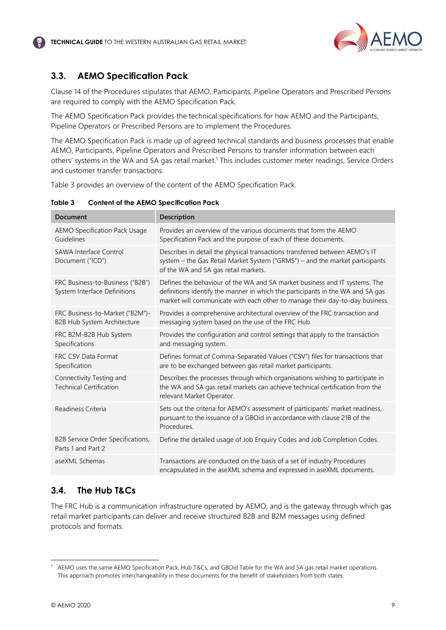

# <span id="page-9-0"></span>**3.3. AEMO Specification Pack**

Clause 14 of the Procedures stipulates that AEMO, Participants, Pipeline Operators and Prescribed Persons are required to comply with the AEMO Specification Pack.

The AEMO Specification Pack provides the technical specifications for how AEMO and the Participants, Pipeline Operators or Prescribed Persons are to implement the Procedures.

The AEMO Specification Pack is made up of agreed technical standards and business processes that enable AEMO, Participants, Pipeline Operators and Prescribed Persons to transfer information between each others' systems in the WA and SA gas retail market.<sup>1</sup> This includes customer meter readings, Service Orders and customer transfer transactions.

Table 3 provides an overview of the content of the AEMO Specification Pack.

| Document                                                         | Description                                                                                                                                                                                                                                  |
|------------------------------------------------------------------|----------------------------------------------------------------------------------------------------------------------------------------------------------------------------------------------------------------------------------------------|
| <b>AEMO Specification Pack Usage</b><br>Guidelines               | Provides an overview of the various documents that form the AEMO<br>Specification Pack and the purpose of each of these documents.                                                                                                           |
| <b>SAWA Interface Control</b><br>Document ("ICD")                | Describes in detail the physical transactions transferred between AEMO's IT<br>system - the Gas Retail Market System ("GRMS") - and the market participants<br>of the WA and SA gas retail markets.                                          |
| FRC Business-to-Business ("B2B")<br>System Interface Definitions | Defines the behaviour of the WA and SA market business and IT systems. The<br>definitions identify the manner in which the participants in the WA and SA gas<br>market will communicate with each other to manage their day-to-day business. |
| FRC Business-to-Market ("B2M")-<br>B2B Hub System Architecture   | Provides a comprehensive architectural overview of the FRC transaction and<br>messaging system based on the use of the FRC Hub.                                                                                                              |
| FRC B2M-B2B Hub System<br>Specifications                         | Provides the configuration and control settings that apply to the transaction<br>and messaging system.                                                                                                                                       |
| FRC CSV Data Format<br>Specification                             | Defines format of Comma-Separated Values ("CSV") files for transactions that<br>are to be exchanged between gas retail market participants.                                                                                                  |
| Connectivity Testing and<br><b>Technical Certification</b>       | Describes the processes through which organisations wishing to participate in<br>the WA and SA gas retail markets can achieve technical certification from the<br>relevant Market Operator.                                                  |
| Readiness Criteria                                               | Sets out the criteria for AEMO's assessment of participants' market readiness,<br>pursuant to the issuance of a GBOid in accordance with clause 21B of the<br>Procedures.                                                                    |
| B2B Service Order Specifications,<br>Parts 1 and Part 2          | Define the detailed usage of Job Enquiry Codes and Job Completion Codes.                                                                                                                                                                     |
| aseXML Schemas                                                   | Transactions are conducted on the basis of a set of industry Procedures<br>encapsulated in the aseXML schema and expressed in aseXML documents.                                                                                              |

**Table 3 Content of the AEMO Specification Pack**

# <span id="page-9-1"></span>**3.4. The Hub T&Cs**

The FRC Hub is a communication infrastructure operated by AEMO, and is the gateway through which gas retail market participants can deliver and receive structured B2B and B2M messages using defined protocols and formats.

<span id="page-9-2"></span>AEMO uses the same AEMO Specification Pack, Hub T&Cs, and GBOid Table for the WA and SA gas retail market operations. This approach promotes interchangeability in these documents for the benefit of stakeholders from both states.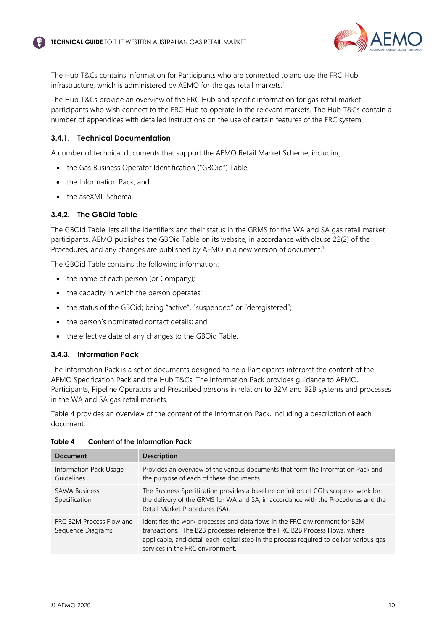

The Hub T&Cs contains information for Participants who are connected to and use the FRC Hub infrastructure, which is administered by AEMO for the gas retail markets[.](#page-9-2)<sup>1</sup>

The Hub T&Cs provide an overview of the FRC Hub and specific information for gas retail market participants who wish connect to the FRC Hub to operate in the relevant markets. The Hub T&Cs contain a number of appendices with detailed instructions on the use of certain features of the FRC system.

#### **3.4.1. Technical Documentation**

A number of technical documents that support the AEMO Retail Market Scheme, including:

- the Gas Business Operator Identification ("GBOid") Table;
- the Information Pack; and
- the aseXML Schema.

#### **3.4.2. The GBOid Table**

The GBOid Table lists all the identifiers and their status in the GRMS for the WA and SA gas retail market participants. AEMO publishes the GBOid Table on its website, in accordance with clause 22(2) of the Procedures, and any changes are published by AEMO in a new version of document[.](#page-9-2)<sup>1</sup>

The GBOid Table contains the following information:

- the name of each person (or Company);
- the capacity in which the person operates;
- the status of the GBOid; being "active", "suspended" or "deregistered";
- the person's nominated contact details; and
- the effective date of any changes to the GBOid Table.

#### **3.4.3. Information Pack**

The Information Pack is a set of documents designed to help Participants interpret the content of the AEMO Specification Pack and the Hub T&Cs. The Information Pack provides guidance to AEMO, Participants, Pipeline Operators and Prescribed persons in relation to B2M and B2B systems and processes in the WA and SA gas retail markets.

Table 4 provides an overview of the content of the Information Pack, including a description of each document.

| <b>Document</b>                               | <b>Description</b>                                                                                                                                                                                                                                                                       |
|-----------------------------------------------|------------------------------------------------------------------------------------------------------------------------------------------------------------------------------------------------------------------------------------------------------------------------------------------|
| Information Pack Usage<br>Guidelines          | Provides an overview of the various documents that form the Information Pack and<br>the purpose of each of these documents                                                                                                                                                               |
| <b>SAWA Business</b><br>Specification         | The Business Specification provides a baseline definition of CGI's scope of work for<br>the delivery of the GRMS for WA and SA, in accordance with the Procedures and the<br>Retail Market Procedures (SA).                                                                              |
| FRC B2M Process Flow and<br>Sequence Diagrams | Identifies the work processes and data flows in the FRC environment for B2M<br>transactions. The B2B processes reference the FRC B2B Process Flows, where<br>applicable, and detail each logical step in the process required to deliver various gas<br>services in the FRC environment. |

#### **Table 4 Content of the Information Pack**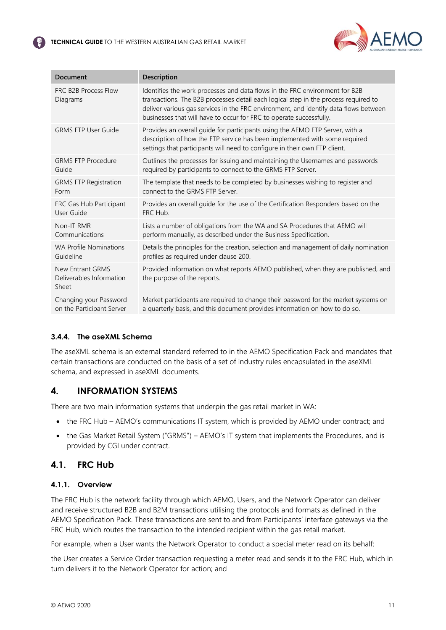

| <b>Document</b>                                       | Description                                                                                                                                                                                                                                                                                                                       |
|-------------------------------------------------------|-----------------------------------------------------------------------------------------------------------------------------------------------------------------------------------------------------------------------------------------------------------------------------------------------------------------------------------|
| FRC B2B Process Flow<br>Diagrams                      | Identifies the work processes and data flows in the FRC environment for B2B<br>transactions. The B2B processes detail each logical step in the process required to<br>deliver various gas services in the FRC environment, and identify data flows between<br>businesses that will have to occur for FRC to operate successfully. |
| <b>GRMS FTP User Guide</b>                            | Provides an overall guide for participants using the AEMO FTP Server, with a<br>description of how the FTP service has been implemented with some required<br>settings that participants will need to configure in their own FTP client.                                                                                          |
| <b>GRMS FTP Procedure</b>                             | Outlines the processes for issuing and maintaining the Usernames and passwords                                                                                                                                                                                                                                                    |
| Guide                                                 | required by participants to connect to the GRMS FTP Server.                                                                                                                                                                                                                                                                       |
| <b>GRMS FTP Registration</b>                          | The template that needs to be completed by businesses wishing to register and                                                                                                                                                                                                                                                     |
| Form                                                  | connect to the GRMS FTP Server.                                                                                                                                                                                                                                                                                                   |
| FRC Gas Hub Participant                               | Provides an overall guide for the use of the Certification Responders based on the                                                                                                                                                                                                                                                |
| User Guide                                            | FRC Hub.                                                                                                                                                                                                                                                                                                                          |
| Non-IT RMR                                            | Lists a number of obligations from the WA and SA Procedures that AEMO will                                                                                                                                                                                                                                                        |
| Communications                                        | perform manually, as described under the Business Specification.                                                                                                                                                                                                                                                                  |
| <b>WA Profile Nominations</b>                         | Details the principles for the creation, selection and management of daily nomination                                                                                                                                                                                                                                             |
| Guideline                                             | profiles as required under clause 200.                                                                                                                                                                                                                                                                                            |
| New Entrant GRMS<br>Deliverables Information<br>Sheet | Provided information on what reports AEMO published, when they are published, and<br>the purpose of the reports.                                                                                                                                                                                                                  |
| Changing your Password                                | Market participants are required to change their password for the market systems on                                                                                                                                                                                                                                               |
| on the Participant Server                             | a quarterly basis, and this document provides information on how to do so.                                                                                                                                                                                                                                                        |

## **3.4.4. The aseXML Schema**

The aseXML schema is an external standard referred to in the AEMO Specification Pack and mandates that certain transactions are conducted on the basis of a set of industry rules encapsulated in the aseXML schema, and expressed in aseXML documents.

## <span id="page-11-0"></span>**4. INFORMATION SYSTEMS**

There are two main information systems that underpin the gas retail market in WA:

- the FRC Hub AEMO's communications IT system, which is provided by AEMO under contract; and
- the Gas Market Retail System ("GRMS") AEMO's IT system that implements the Procedures, and is provided by CGI under contract.

## <span id="page-11-1"></span>**4.1. FRC Hub**

## **4.1.1. Overview**

The FRC Hub is the network facility through which AEMO, Users, and the Network Operator can deliver and receive structured B2B and B2M transactions utilising the protocols and formats as defined in the AEMO Specification Pack. These transactions are sent to and from Participants' interface gateways via the FRC Hub, which routes the transaction to the intended recipient within the gas retail market.

For example, when a User wants the Network Operator to conduct a special meter read on its behalf:

the User creates a Service Order transaction requesting a meter read and sends it to the FRC Hub, which in turn delivers it to the Network Operator for action; and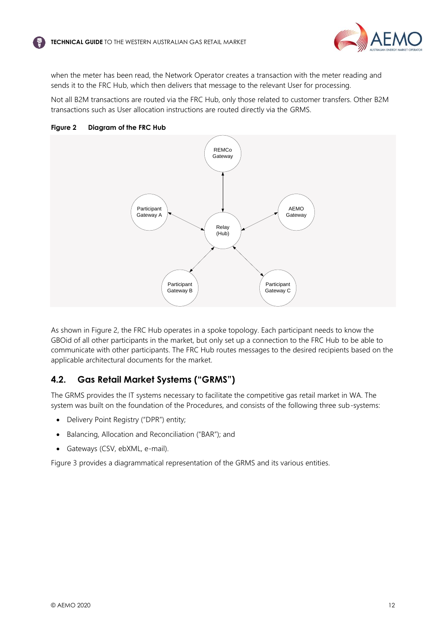

when the meter has been read, the Network Operator creates a transaction with the meter reading and sends it to the FRC Hub, which then delivers that message to the relevant User for processing.

Not all B2M transactions are routed via the FRC Hub, only those related to customer transfers. Other B2M transactions such as User allocation instructions are routed directly via the GRMS.





As shown in Figure 2, the FRC Hub operates in a spoke topology. Each participant needs to know the GBOid of all other participants in the market, but only set up a connection to the FRC Hub to be able to communicate with other participants. The FRC Hub routes messages to the desired recipients based on the applicable architectural documents for the market.

# <span id="page-12-0"></span>**4.2. Gas Retail Market Systems ("GRMS")**

The GRMS provides the IT systems necessary to facilitate the competitive gas retail market in WA. The system was built on the foundation of the Procedures, and consists of the following three sub-systems:

- Delivery Point Registry ("DPR") entity;
- Balancing, Allocation and Reconciliation ("BAR"); and
- Gateways (CSV, ebXML, e-mail).

Figure 3 provides a diagrammatical representation of the GRMS and its various entities.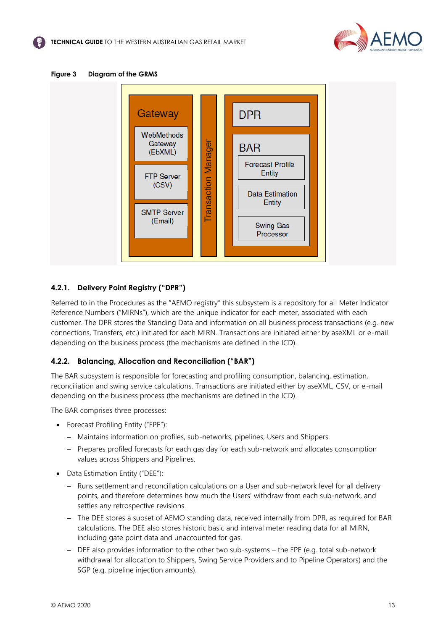





## <span id="page-13-0"></span>**4.2.1. Delivery Point Registry ("DPR")**

Referred to in the Procedures as the "AEMO registry" this subsystem is a repository for all Meter Indicator Reference Numbers ("MIRNs"), which are the unique indicator for each meter, associated with each customer. The DPR stores the Standing Data and information on all business process transactions (e.g. new connections, Transfers, etc.) initiated for each MIRN. Transactions are initiated either by aseXML or e-mail depending on the business process (the mechanisms are defined in the ICD).

#### **4.2.2. Balancing, Allocation and Reconciliation ("BAR")**

The BAR subsystem is responsible for forecasting and profiling consumption, balancing, estimation, reconciliation and swing service calculations. Transactions are initiated either by aseXML, CSV, or e-mail depending on the business process (the mechanisms are defined in the ICD).

The BAR comprises three processes:

- Forecast Profiling Entity ("FPE"):
	- − Maintains information on profiles, sub-networks, pipelines, Users and Shippers.
	- − Prepares profiled forecasts for each gas day for each sub-network and allocates consumption values across Shippers and Pipelines.
- Data Estimation Entity ("DEE"):
	- − Runs settlement and reconciliation calculations on a User and sub-network level for all delivery points, and therefore determines how much the Users' withdraw from each sub-network, and settles any retrospective revisions.
	- − The DEE stores a subset of AEMO standing data, received internally from DPR, as required for BAR calculations. The DEE also stores historic basic and interval meter reading data for all MIRN, including gate point data and unaccounted for gas.
	- − DEE also provides information to the other two sub-systems the FPE (e.g. total sub-network withdrawal for allocation to Shippers, Swing Service Providers and to Pipeline Operators) and the SGP (e.g. pipeline injection amounts).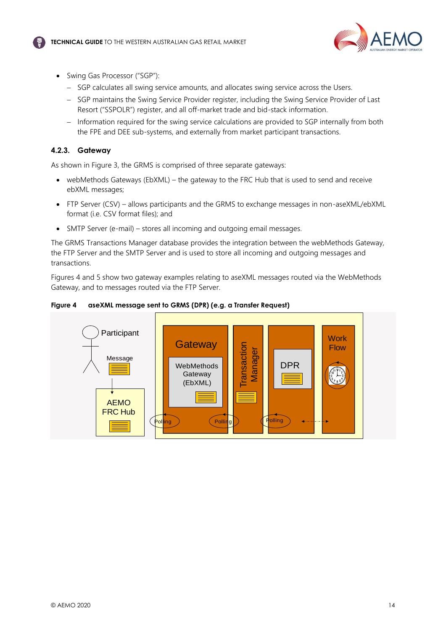

- Swing Gas Processor ("SGP"):
	- − SGP calculates all swing service amounts, and allocates swing service across the Users.
	- − SGP maintains the Swing Service Provider register, including the Swing Service Provider of Last Resort ("SSPOLR") register, and all off-market trade and bid-stack information.
	- − Information required for the swing service calculations are provided to SGP internally from both the FPE and DEE sub-systems, and externally from market participant transactions.

#### **4.2.3. Gateway**

As shown in Figure 3, the GRMS is comprised of three separate gateways:

- webMethods Gateways (EbXML) the gateway to the FRC Hub that is used to send and receive ebXML messages;
- FTP Server (CSV) allows participants and the GRMS to exchange messages in non-aseXML/ebXML format (i.e. CSV format files); and
- SMTP Server (e-mail) stores all incoming and outgoing email messages.

The GRMS Transactions Manager database provides the integration between the webMethods Gateway, the FTP Server and the SMTP Server and is used to store all incoming and outgoing messages and transactions.

Figures 4 and 5 show two gateway examples relating to aseXML messages routed via the WebMethods Gateway, and to messages routed via the FTP Server.

**Figure 4 aseXML message sent to GRMS (DPR) (e.g. a Transfer Request)**

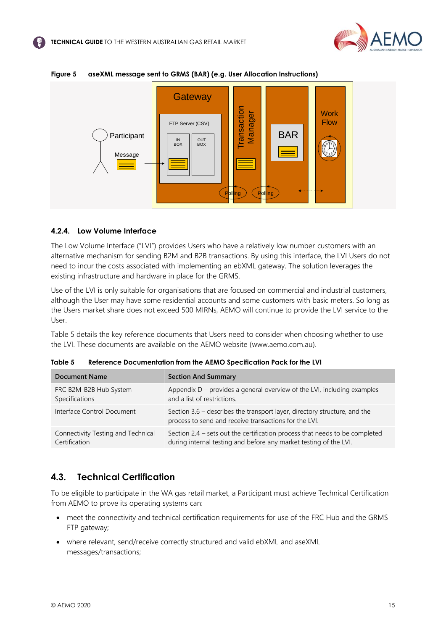



#### **Figure 5 aseXML message sent to GRMS (BAR) (e.g. User Allocation Instructions)**

#### **4.2.4. Low Volume Interface**

The Low Volume Interface ("LVI") provides Users who have a relatively low number customers with an alternative mechanism for sending B2M and B2B transactions. By using this interface, the LVI Users do not need to incur the costs associated with implementing an ebXML gateway. The solution leverages the existing infrastructure and hardware in place for the GRMS.

Use of the LVI is only suitable for organisations that are focused on commercial and industrial customers, although the User may have some residential accounts and some customers with basic meters. So long as the Users market share does not exceed 500 MIRNs, AEMO will continue to provide the LVI service to the User.

Table 5 details the key reference documents that Users need to consider when choosing whether to use the LVI. These documents are available on the AEMO website [\(www.aemo.com.au\)](http://sharedocs/sites/rmm/RetD/reg/Gas/Guidelines/Current/WA%20Guides/www.aemo.com.au).

| <b>Document Name</b>               | <b>Section And Summary</b>                                                                                                         |
|------------------------------------|------------------------------------------------------------------------------------------------------------------------------------|
| FRC B2M-B2B Hub System             | Appendix $D$ – provides a general overview of the LVI, including examples                                                          |
| Specifications                     | and a list of restrictions.                                                                                                        |
| Interface Control Document         | Section 3.6 – describes the transport layer, directory structure, and the<br>process to send and receive transactions for the LVI. |
| Connectivity Testing and Technical | Section 2.4 - sets out the certification process that needs to be completed                                                        |
| Certification                      | during internal testing and before any market testing of the LVI.                                                                  |

|  | Table 5 | Reference Documentation from the AEMO Specification Pack for the LVI |
|--|---------|----------------------------------------------------------------------|
|--|---------|----------------------------------------------------------------------|

## <span id="page-15-0"></span>**4.3. Technical Certification**

To be eligible to participate in the WA gas retail market, a Participant must achieve Technical Certification from AEMO to prove its operating systems can:

- meet the connectivity and technical certification requirements for use of the FRC Hub and the GRMS FTP gateway;
- where relevant, send/receive correctly structured and valid ebXML and aseXML messages/transactions;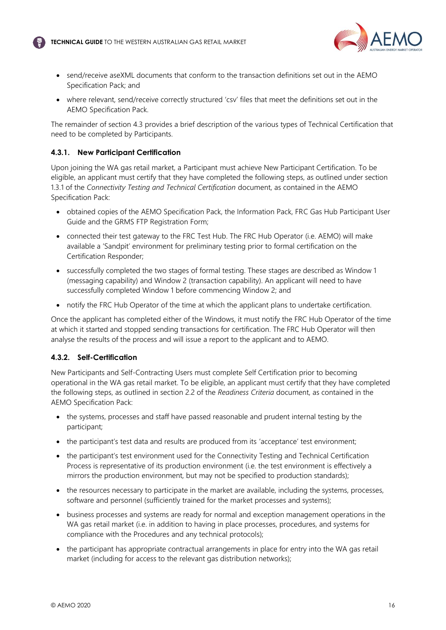

- send/receive aseXML documents that conform to the transaction definitions set out in the AEMO Specification Pack; and
- where relevant, send/receive correctly structured 'csv' files that meet the definitions set out in the AEMO Specification Pack.

The remainder of section 4.3 provides a brief description of the various types of Technical Certification that need to be completed by Participants.

## **4.3.1. New Participant Certification**

Upon joining the WA gas retail market, a Participant must achieve New Participant Certification. To be eligible, an applicant must certify that they have completed the following steps, as outlined under section 1.3.1 of the *Connectivity Testing and Technical Certification* document, as contained in the AEMO Specification Pack:

- obtained copies of the AEMO Specification Pack, the Information Pack, FRC Gas Hub Participant User Guide and the GRMS FTP Registration Form;
- connected their test gateway to the FRC Test Hub. The FRC Hub Operator (i.e. AEMO) will make available a 'Sandpit' environment for preliminary testing prior to formal certification on the Certification Responder;
- successfully completed the two stages of formal testing. These stages are described as Window 1 (messaging capability) and Window 2 (transaction capability). An applicant will need to have successfully completed Window 1 before commencing Window 2; and
- notify the FRC Hub Operator of the time at which the applicant plans to undertake certification.

Once the applicant has completed either of the Windows, it must notify the FRC Hub Operator of the time at which it started and stopped sending transactions for certification. The FRC Hub Operator will then analyse the results of the process and will issue a report to the applicant and to AEMO.

#### **4.3.2. Self-Certification**

New Participants and Self-Contracting Users must complete Self Certification prior to becoming operational in the WA gas retail market. To be eligible, an applicant must certify that they have completed the following steps, as outlined in section 2.2 of the *Readiness Criteria* document, as contained in the AEMO Specification Pack:

- the systems, processes and staff have passed reasonable and prudent internal testing by the participant;
- the participant's test data and results are produced from its 'acceptance' test environment;
- the participant's test environment used for the Connectivity Testing and Technical Certification Process is representative of its production environment (i.e. the test environment is effectively a mirrors the production environment, but may not be specified to production standards);
- the resources necessary to participate in the market are available, including the systems, processes, software and personnel (sufficiently trained for the market processes and systems);
- business processes and systems are ready for normal and exception management operations in the WA gas retail market (i.e. in addition to having in place processes, procedures, and systems for compliance with the Procedures and any technical protocols);
- the participant has appropriate contractual arrangements in place for entry into the WA gas retail market (including for access to the relevant gas distribution networks);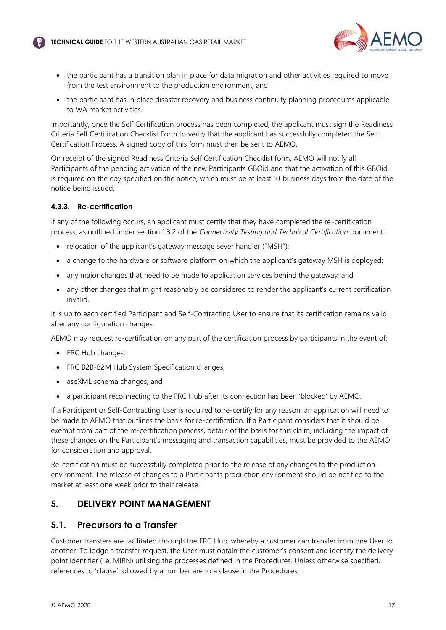

- the participant has a transition plan in place for data migration and other activities required to move from the test environment to the production environment; and
- the participant has in place disaster recovery and business continuity planning procedures applicable to WA market activities.

Importantly, once the Self Certification process has been completed, the applicant must sign the Readiness Criteria Self Certification Checklist Form to verify that the applicant has successfully completed the Self Certification Process. A signed copy of this form must then be sent to AEMO.

On receipt of the signed Readiness Criteria Self Certification Checklist form, AEMO will notify all Participants of the pending activation of the new Participants GBOid and that the activation of this GBOid is required on the day specified on the notice, which must be at least 10 business days from the date of the notice being issued.

#### **4.3.3. Re-certification**

If any of the following occurs, an applicant must certify that they have completed the re-certification process, as outlined under section 1.3.2 of the *Connectivity Testing and Technical Certification* document:

- relocation of the applicant's gateway message sever handler ("MSH");
- a change to the hardware or software platform on which the applicant's gateway MSH is deployed:
- any major changes that need to be made to application services behind the gateway; and
- any other changes that might reasonably be considered to render the applicant's current certification invalid.

It is up to each certified Participant and Self-Contracting User to ensure that its certification remains valid after any configuration changes.

AEMO may request re-certification on any part of the certification process by participants in the event of:

- FRC Hub changes:
- FRC B2B-B2M Hub System Specification changes;
- aseXML schema changes; and
- a participant reconnecting to the FRC Hub after its connection has been 'blocked' by AEMO.

If a Participant or Self-Contracting User is required to re-certify for any reason, an application will need to be made to AEMO that outlines the basis for re-certification. If a Participant considers that it should be exempt from part of the re-certification process, details of the basis for this claim, including the impact of these changes on the Participant's messaging and transaction capabilities, must be provided to the AEMO for consideration and approval.

Re-certification must be successfully completed prior to the release of any changes to the production environment. The release of changes to a Participants production environment should be notified to the market at least one week prior to their release.

## <span id="page-17-0"></span>**5. DELIVERY POINT MANAGEMENT**

## <span id="page-17-1"></span>**5.1. Precursors to a Transfer**

Customer transfers are facilitated through the FRC Hub, whereby a customer can transfer from one User to another. To lodge a transfer request, the User must obtain the customer's consent and identify the delivery point identifier (i.e. MIRN) utilising the processes defined in the Procedures. Unless otherwise specified, references to 'clause' followed by a number are to a clause in the Procedures.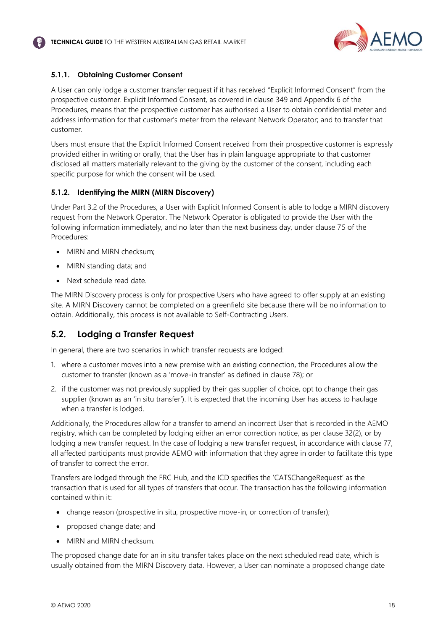

## **5.1.1. Obtaining Customer Consent**

A User can only lodge a customer transfer request if it has received "Explicit Informed Consent" from the prospective customer. Explicit Informed Consent, as covered in clause 349 and Appendix 6 of the Procedures, means that the prospective customer has authorised a User to obtain confidential meter and address information for that customer's meter from the relevant Network Operator; and to transfer that customer.

Users must ensure that the Explicit Informed Consent received from their prospective customer is expressly provided either in writing or orally, that the User has in plain language appropriate to that customer disclosed all matters materially relevant to the giving by the customer of the consent, including each specific purpose for which the consent will be used.

#### **5.1.2. Identifying the MIRN (MIRN Discovery)**

Under Part 3.2 of the Procedures, a User with Explicit Informed Consent is able to lodge a MIRN discovery request from the Network Operator. The Network Operator is obligated to provide the User with the following information immediately, and no later than the next business day, under clause 75 of the Procedures:

- MIRN and MIRN checksum:
- MIRN standing data; and
- Next schedule read date.

The MIRN Discovery process is only for prospective Users who have agreed to offer supply at an existing site. A MIRN Discovery cannot be completed on a greenfield site because there will be no information to obtain. Additionally, this process is not available to Self-Contracting Users.

## <span id="page-18-0"></span>**5.2. Lodging a Transfer Request**

In general, there are two scenarios in which transfer requests are lodged:

- 1. where a customer moves into a new premise with an existing connection, the Procedures allow the customer to transfer (known as a 'move-in transfer' as defined in clause 78); or
- 2. if the customer was not previously supplied by their gas supplier of choice, opt to change their gas supplier (known as an 'in situ transfer'). It is expected that the incoming User has access to haulage when a transfer is lodged.

Additionally, the Procedures allow for a transfer to amend an incorrect User that is recorded in the AEMO registry, which can be completed by lodging either an error correction notice, as per clause 32(2), or by lodging a new transfer request. In the case of lodging a new transfer request, in accordance with clause 77, all affected participants must provide AEMO with information that they agree in order to facilitate this type of transfer to correct the error.

Transfers are lodged through the FRC Hub, and the ICD specifies the 'CATSChangeRequest' as the transaction that is used for all types of transfers that occur. The transaction has the following information contained within it:

- change reason (prospective in situ, prospective move-in, or correction of transfer);
- proposed change date; and
- MIRN and MIRN checksum.

The proposed change date for an in situ transfer takes place on the next scheduled read date, which is usually obtained from the MIRN Discovery data. However, a User can nominate a proposed change date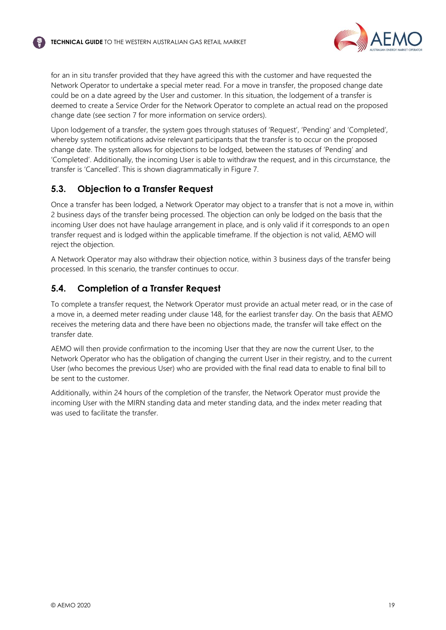

for an in situ transfer provided that they have agreed this with the customer and have requested the Network Operator to undertake a special meter read. For a move in transfer, the proposed change date could be on a date agreed by the User and customer. In this situation, the lodgement of a transfer is deemed to create a Service Order for the Network Operator to complete an actual read on the proposed change date (see section [7](#page-23-0) for more information on service orders).

Upon lodgement of a transfer, the system goes through statuses of 'Request', 'Pending' and 'Completed', whereby system notifications advise relevant participants that the transfer is to occur on the proposed change date. The system allows for objections to be lodged, between the statuses of 'Pending' and 'Completed'. Additionally, the incoming User is able to withdraw the request, and in this circumstance, the transfer is 'Cancelled'. This is shown diagrammatically in Figure 7.

## <span id="page-19-0"></span>**5.3. Objection to a Transfer Request**

Once a transfer has been lodged, a Network Operator may object to a transfer that is not a move in, within 2 business days of the transfer being processed. The objection can only be lodged on the basis that the incoming User does not have haulage arrangement in place, and is only valid if it corresponds to an open transfer request and is lodged within the applicable timeframe. If the objection is not valid, AEMO will reject the objection.

A Network Operator may also withdraw their objection notice, within 3 business days of the transfer being processed. In this scenario, the transfer continues to occur.

# <span id="page-19-1"></span>**5.4. Completion of a Transfer Request**

To complete a transfer request, the Network Operator must provide an actual meter read, or in the case of a move in, a deemed meter reading under clause 148, for the earliest transfer day. On the basis that AEMO receives the metering data and there have been no objections made, the transfer will take effect on the transfer date.

AEMO will then provide confirmation to the incoming User that they are now the current User, to the Network Operator who has the obligation of changing the current User in their registry, and to the current User (who becomes the previous User) who are provided with the final read data to enable to final bill to be sent to the customer.

Additionally, within 24 hours of the completion of the transfer, the Network Operator must provide the incoming User with the MIRN standing data and meter standing data, and the index meter reading that was used to facilitate the transfer.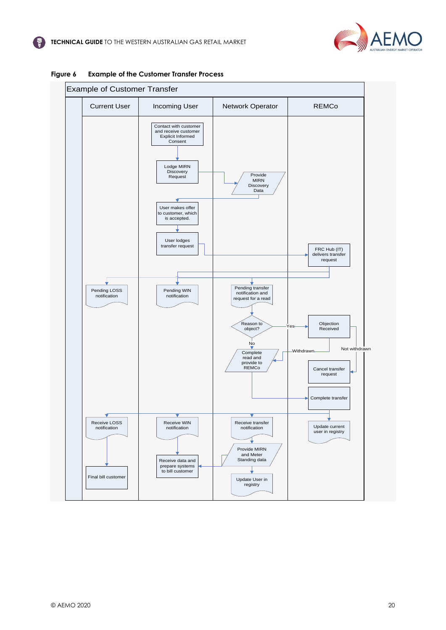



#### **Figure 6 Example of the Customer Transfer Process**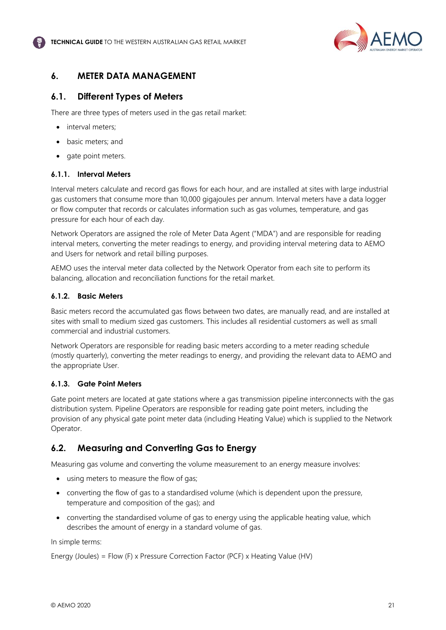

## <span id="page-21-0"></span>**6. METER DATA MANAGEMENT**

## <span id="page-21-1"></span>**6.1. Different Types of Meters**

There are three types of meters used in the gas retail market:

- interval meters:
- basic meters; and
- gate point meters.

#### **6.1.1. Interval Meters**

Interval meters calculate and record gas flows for each hour, and are installed at sites with large industrial gas customers that consume more than 10,000 gigajoules per annum. Interval meters have a data logger or flow computer that records or calculates information such as gas volumes, temperature, and gas pressure for each hour of each day.

Network Operators are assigned the role of Meter Data Agent ("MDA") and are responsible for reading interval meters, converting the meter readings to energy, and providing interval metering data to AEMO and Users for network and retail billing purposes.

AEMO uses the interval meter data collected by the Network Operator from each site to perform its balancing, allocation and reconciliation functions for the retail market.

#### **6.1.2. Basic Meters**

Basic meters record the accumulated gas flows between two dates, are manually read, and are installed at sites with small to medium sized gas customers. This includes all residential customers as well as small commercial and industrial customers.

Network Operators are responsible for reading basic meters according to a meter reading schedule (mostly quarterly), converting the meter readings to energy, and providing the relevant data to AEMO and the appropriate User.

## **6.1.3. Gate Point Meters**

Gate point meters are located at gate stations where a gas transmission pipeline interconnects with the gas distribution system. Pipeline Operators are responsible for reading gate point meters, including the provision of any physical gate point meter data (including Heating Value) which is supplied to the Network Operator.

## <span id="page-21-2"></span>**6.2. Measuring and Converting Gas to Energy**

Measuring gas volume and converting the volume measurement to an energy measure involves:

- using meters to measure the flow of gas;
- converting the flow of gas to a standardised volume (which is dependent upon the pressure, temperature and composition of the gas); and
- converting the standardised volume of gas to energy using the applicable heating value, which describes the amount of energy in a standard volume of gas.

In simple terms:

Energy (Joules) = Flow (F) x Pressure Correction Factor (PCF) x Heating Value (HV)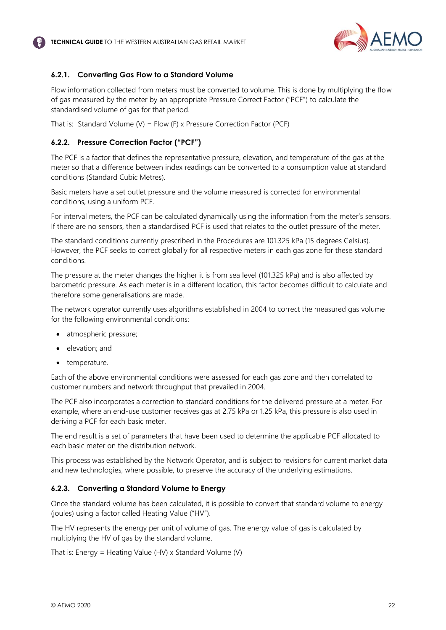

## **6.2.1. Converting Gas Flow to a Standard Volume**

Flow information collected from meters must be converted to volume. This is done by multiplying the flow of gas measured by the meter by an appropriate Pressure Correct Factor ("PCF") to calculate the standardised volume of gas for that period.

That is: Standard Volume (V) = Flow (F) x Pressure Correction Factor (PCF)

#### **6.2.2. Pressure Correction Factor ("PCF")**

The PCF is a factor that defines the representative pressure, elevation, and temperature of the gas at the meter so that a difference between index readings can be converted to a consumption value at standard conditions (Standard Cubic Metres).

Basic meters have a set outlet pressure and the volume measured is corrected for environmental conditions, using a uniform PCF.

For interval meters, the PCF can be calculated dynamically using the information from the meter's sensors. If there are no sensors, then a standardised PCF is used that relates to the outlet pressure of the meter.

The standard conditions currently prescribed in the Procedures are 101.325 kPa (15 degrees Celsius). However, the PCF seeks to correct globally for all respective meters in each gas zone for these standard conditions.

The pressure at the meter changes the higher it is from sea level (101.325 kPa) and is also affected by barometric pressure. As each meter is in a different location, this factor becomes difficult to calculate and therefore some generalisations are made.

The network operator currently uses algorithms established in 2004 to correct the measured gas volume for the following environmental conditions:

- atmospheric pressure;
- elevation; and
- temperature.

Each of the above environmental conditions were assessed for each gas zone and then correlated to customer numbers and network throughput that prevailed in 2004.

The PCF also incorporates a correction to standard conditions for the delivered pressure at a meter. For example, where an end-use customer receives gas at 2.75 kPa or 1.25 kPa, this pressure is also used in deriving a PCF for each basic meter.

The end result is a set of parameters that have been used to determine the applicable PCF allocated to each basic meter on the distribution network.

This process was established by the Network Operator, and is subject to revisions for current market data and new technologies, where possible, to preserve the accuracy of the underlying estimations.

#### **6.2.3. Converting a Standard Volume to Energy**

Once the standard volume has been calculated, it is possible to convert that standard volume to energy (joules) using a factor called Heating Value ("HV").

The HV represents the energy per unit of volume of gas. The energy value of gas is calculated by multiplying the HV of gas by the standard volume.

That is: Energy = Heating Value (HV) x Standard Volume (V)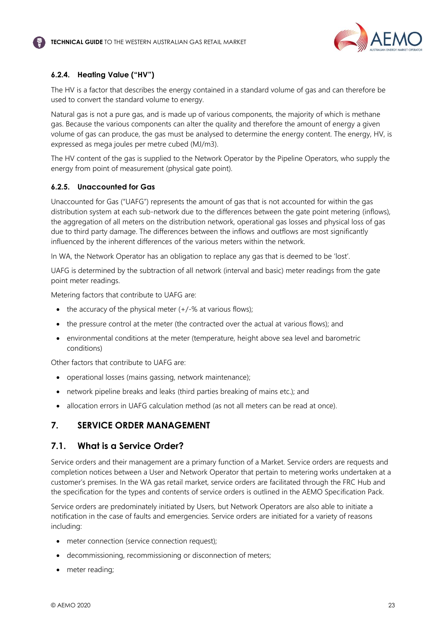

## **6.2.4. Heating Value ("HV")**

The HV is a factor that describes the energy contained in a standard volume of gas and can therefore be used to convert the standard volume to energy.

Natural gas is not a pure gas, and is made up of various components, the majority of which is methane gas. Because the various components can alter the quality and therefore the amount of energy a given volume of gas can produce, the gas must be analysed to determine the energy content. The energy, HV, is expressed as mega joules per metre cubed (MJ/m3).

The HV content of the gas is supplied to the Network Operator by the Pipeline Operators, who supply the energy from point of measurement (physical gate point).

#### **6.2.5. Unaccounted for Gas**

Unaccounted for Gas ("UAFG") represents the amount of gas that is not accounted for within the gas distribution system at each sub-network due to the differences between the gate point metering (inflows), the aggregation of all meters on the distribution network, operational gas losses and physical loss of gas due to third party damage. The differences between the inflows and outflows are most significantly influenced by the inherent differences of the various meters within the network.

In WA, the Network Operator has an obligation to replace any gas that is deemed to be 'lost'.

UAFG is determined by the subtraction of all network (interval and basic) meter readings from the gate point meter readings.

Metering factors that contribute to UAFG are:

- the accuracy of the physical meter  $(+/-\%$  at various flows);
- the pressure control at the meter (the contracted over the actual at various flows); and
- environmental conditions at the meter (temperature, height above sea level and barometric conditions)

Other factors that contribute to UAFG are:

- operational losses (mains gassing, network maintenance);
- network pipeline breaks and leaks (third parties breaking of mains etc.); and
- allocation errors in UAFG calculation method (as not all meters can be read at once).

## <span id="page-23-0"></span>**7. SERVICE ORDER MANAGEMENT**

## <span id="page-23-1"></span>**7.1. What is a Service Order?**

Service orders and their management are a primary function of a Market. Service orders are requests and completion notices between a User and Network Operator that pertain to metering works undertaken at a customer's premises. In the WA gas retail market, service orders are facilitated through the FRC Hub and the specification for the types and contents of service orders is outlined in the AEMO Specification Pack.

Service orders are predominately initiated by Users, but Network Operators are also able to initiate a notification in the case of faults and emergencies. Service orders are initiated for a variety of reasons including:

- meter connection (service connection request);
- decommissioning, recommissioning or disconnection of meters;
- meter reading;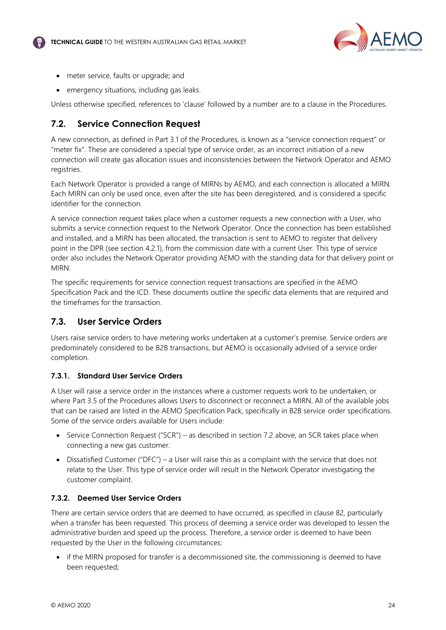

- meter service, faults or upgrade; and
- emergency situations, including gas leaks.

Unless otherwise specified, references to 'clause' followed by a number are to a clause in the Procedures.

# <span id="page-24-0"></span>**7.2. Service Connection Request**

A new connection, as defined in Part 3.1 of the Procedures, is known as a "service connection request" or "meter fix". These are considered a special type of service order, as an incorrect initiation of a new connection will create gas allocation issues and inconsistencies between the Network Operator and AEMO registries.

Each Network Operator is provided a range of MIRNs by AEMO, and each connection is allocated a MIRN. Each MIRN can only be used once, even after the site has been deregistered, and is considered a specific identifier for the connection.

A service connection request takes place when a customer requests a new connection with a User, who submits a service connection request to the Network Operator. Once the connection has been established and installed, and a MIRN has been allocated, the transaction is sent to AEMO to register that delivery point in the DPR (see section [4.2.1\)](#page-13-0), from the commission date with a current User. This type of service order also includes the Network Operator providing AEMO with the standing data for that delivery point or **MIRN.** 

The specific requirements for service connection request transactions are specified in the AEMO Specification Pack and the ICD. These documents outline the specific data elements that are required and the timeframes for the transaction.

## <span id="page-24-1"></span>**7.3. User Service Orders**

Users raise service orders to have metering works undertaken at a customer's premise. Service orders are predominately considered to be B2B transactions, but AEMO is occasionally advised of a service order completion.

## **7.3.1. Standard User Service Orders**

A User will raise a service order in the instances where a customer requests work to be undertaken, or where Part 3.5 of the Procedures allows Users to disconnect or reconnect a MIRN. All of the available jobs that can be raised are listed in the AEMO Specification Pack, specifically in B2B service order specifications. Some of the service orders available for Users include:

- Service Connection Request ("SCR") as described in section [7.2](#page-24-0) above, an SCR takes place when connecting a new gas customer.
- Dissatisfied Customer ("DFC") a User will raise this as a complaint with the service that does not relate to the User. This type of service order will result in the Network Operator investigating the customer complaint.

## **7.3.2. Deemed User Service Orders**

There are certain service orders that are deemed to have occurred, as specified in clause 82, particularly when a transfer has been requested. This process of deeming a service order was developed to lessen the administrative burden and speed up the process. Therefore, a service order is deemed to have been requested by the User in the following circumstances:

• if the MIRN proposed for transfer is a decommissioned site, the commissioning is deemed to have been requested;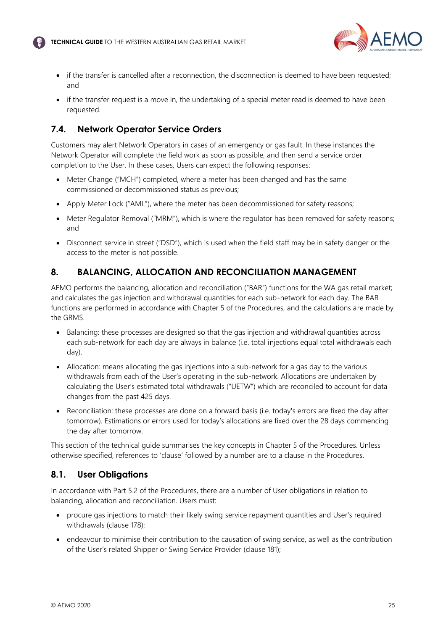

- if the transfer is cancelled after a reconnection, the disconnection is deemed to have been requested; and
- if the transfer request is a move in, the undertaking of a special meter read is deemed to have been requested.

# <span id="page-25-0"></span>**7.4. Network Operator Service Orders**

Customers may alert Network Operators in cases of an emergency or gas fault. In these instances the Network Operator will complete the field work as soon as possible, and then send a service order completion to the User. In these cases, Users can expect the following responses:

- Meter Change ("MCH") completed, where a meter has been changed and has the same commissioned or decommissioned status as previous;
- Apply Meter Lock ("AML"), where the meter has been decommissioned for safety reasons;
- Meter Regulator Removal ("MRM"), which is where the regulator has been removed for safety reasons; and
- Disconnect service in street ("DSD"), which is used when the field staff may be in safety danger or the access to the meter is not possible.

# <span id="page-25-1"></span>**8. BALANCING, ALLOCATION AND RECONCILIATION MANAGEMENT**

AEMO performs the balancing, allocation and reconciliation ("BAR") functions for the WA gas retail market; and calculates the gas injection and withdrawal quantities for each sub-network for each day. The BAR functions are performed in accordance with Chapter 5 of the Procedures, and the calculations are made by the GRMS.

- Balancing: these processes are designed so that the gas injection and withdrawal quantities across each sub-network for each day are always in balance (i.e. total injections equal total withdrawals each day).
- Allocation: means allocating the gas injections into a sub-network for a gas day to the various withdrawals from each of the User's operating in the sub-network. Allocations are undertaken by calculating the User's estimated total withdrawals ("UETW") which are reconciled to account for data changes from the past 425 days.
- Reconciliation: these processes are done on a forward basis (i.e. today's errors are fixed the day after tomorrow). Estimations or errors used for today's allocations are fixed over the 28 days commencing the day after tomorrow.

This section of the technical guide summarises the key concepts in Chapter 5 of the Procedures. Unless otherwise specified, references to 'clause' followed by a number are to a clause in the Procedures.

## <span id="page-25-2"></span>**8.1. User Obligations**

In accordance with Part 5.2 of the Procedures, there are a number of User obligations in relation to balancing, allocation and reconciliation. Users must:

- procure gas injections to match their likely swing service repayment quantities and User's required withdrawals (clause 178);
- endeavour to minimise their contribution to the causation of swing service, as well as the contribution of the User's related Shipper or Swing Service Provider (clause 181);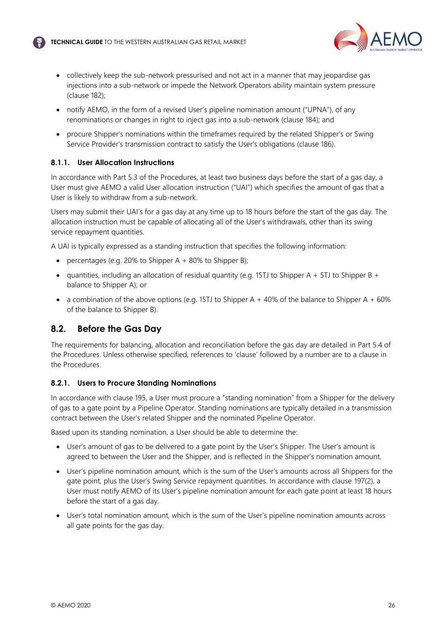

- collectively keep the sub-network pressurised and not act in a manner that may jeopardise gas injections into a sub-network or impede the Network Operators ability maintain system pressure (clause 182);
- notify AEMO, in the form of a revised User's pipeline nomination amount ("UPNA"), of any renominations or changes in right to inject gas into a sub-network (clause 184); and
- procure Shipper's nominations within the timeframes required by the related Shipper's or Swing Service Provider's transmission contract to satisfy the User's obligations (clause 186).

#### **8.1.1. User Allocation Instructions**

In accordance with Part 5.3 of the Procedures, at least two business days before the start of a gas day, a User must give AEMO a valid User allocation instruction ("UAI") which specifies the amount of gas that a User is likely to withdraw from a sub-network.

Users may submit their UAI's for a gas day at any time up to 18 hours before the start of the gas day. The allocation instruction must be capable of allocating all of the User's withdrawals, other than its swing service repayment quantities.

A UAI is typically expressed as a standing instruction that specifies the following information:

- percentages (e.g. 20% to Shipper A  $+$  80% to Shipper B);
- quantities, including an allocation of residual quantity (e.g. 15TJ to Shipper A + 5TJ to Shipper B + balance to Shipper A); or
- a combination of the above options (e.g. 15TJ to Shipper A  $+$  40% of the balance to Shipper A  $+$  60% of the balance to Shipper B).

## <span id="page-26-0"></span>**8.2. Before the Gas Day**

The requirements for balancing, allocation and reconciliation before the gas day are detailed in Part 5.4 of the Procedures. Unless otherwise specified, references to 'clause' followed by a number are to a clause in the Procedures.

#### **8.2.1. Users to Procure Standing Nominations**

In accordance with clause 195, a User must procure a "standing nomination" from a Shipper for the delivery of gas to a gate point by a Pipeline Operator. Standing nominations are typically detailed in a transmission contract between the User's related Shipper and the nominated Pipeline Operator.

Based upon its standing nomination, a User should be able to determine the:

- User's amount of gas to be delivered to a gate point by the User's Shipper. The User's amount is agreed to between the User and the Shipper, and is reflected in the Shipper's nomination amount.
- User's pipeline nomination amount, which is the sum of the User's amounts across all Shippers for the gate point, plus the User's Swing Service repayment quantities. In accordance with clause 197(2), a User must notify AEMO of its User's pipeline nomination amount for each gate point at least 18 hours before the start of a gas day.
- User's total nomination amount, which is the sum of the User's pipeline nomination amounts across all gate points for the gas day.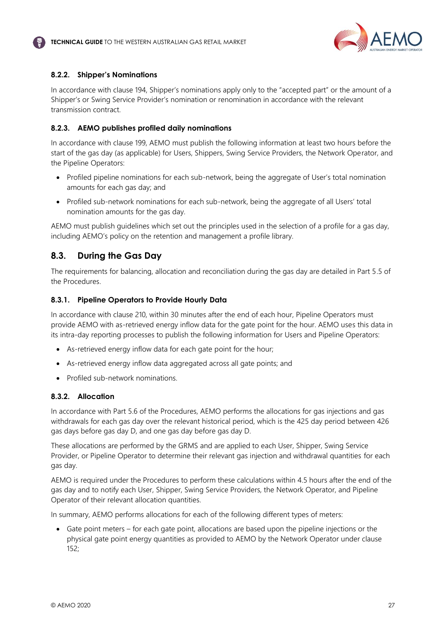

#### **8.2.2. Shipper's Nominations**

In accordance with clause 194, Shipper's nominations apply only to the "accepted part" or the amount of a Shipper's or Swing Service Provider's nomination or renomination in accordance with the relevant transmission contract.

#### **8.2.3. AEMO publishes profiled daily nominations**

In accordance with clause 199, AEMO must publish the following information at least two hours before the start of the gas day (as applicable) for Users, Shippers, Swing Service Providers, the Network Operator, and the Pipeline Operators:

- Profiled pipeline nominations for each sub-network, being the aggregate of User's total nomination amounts for each gas day; and
- Profiled sub-network nominations for each sub-network, being the aggregate of all Users' total nomination amounts for the gas day.

AEMO must publish guidelines which set out the principles used in the selection of a profile for a gas day, including AEMO's policy on the retention and management a profile library.

## <span id="page-27-0"></span>**8.3. During the Gas Day**

The requirements for balancing, allocation and reconciliation during the gas day are detailed in Part 5.5 of the Procedures.

#### **8.3.1. Pipeline Operators to Provide Hourly Data**

In accordance with clause 210, within 30 minutes after the end of each hour, Pipeline Operators must provide AEMO with as-retrieved energy inflow data for the gate point for the hour. AEMO uses this data in its intra-day reporting processes to publish the following information for Users and Pipeline Operators:

- As-retrieved energy inflow data for each gate point for the hour;
- As-retrieved energy inflow data aggregated across all gate points; and
- Profiled sub-network nominations.

#### **8.3.2. Allocation**

In accordance with Part 5.6 of the Procedures, AEMO performs the allocations for gas injections and gas withdrawals for each gas day over the relevant historical period, which is the 425 day period between 426 gas days before gas day D, and one gas day before gas day D.

These allocations are performed by the GRMS and are applied to each User, Shipper, Swing Service Provider, or Pipeline Operator to determine their relevant gas injection and withdrawal quantities for each gas day.

AEMO is required under the Procedures to perform these calculations within 4.5 hours after the end of the gas day and to notify each User, Shipper, Swing Service Providers, the Network Operator, and Pipeline Operator of their relevant allocation quantities.

In summary, AEMO performs allocations for each of the following different types of meters:

• Gate point meters – for each gate point, allocations are based upon the pipeline injections or the physical gate point energy quantities as provided to AEMO by the Network Operator under clause 152;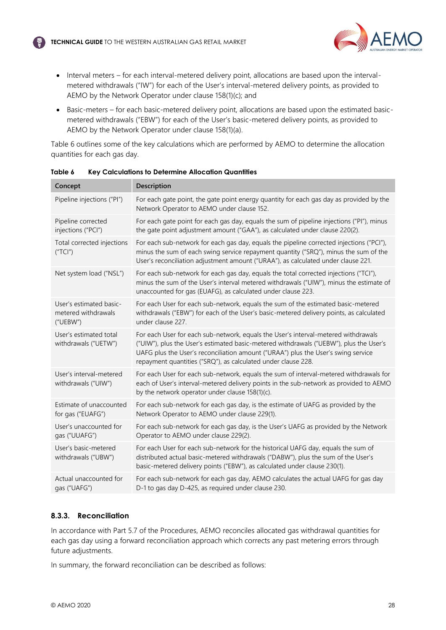

- Interval meters for each interval-metered delivery point, allocations are based upon the intervalmetered withdrawals ("IW") for each of the User's interval-metered delivery points, as provided to AEMO by the Network Operator under clause 158(1)(c); and
- Basic-meters for each basic-metered delivery point, allocations are based upon the estimated basicmetered withdrawals ("EBW") for each of the User's basic-metered delivery points, as provided to AEMO by the Network Operator under clause 158(1)(a).

Table 6 outlines some of the key calculations which are performed by AEMO to determine the allocation quantities for each gas day.

| Concept                                                    | Description                                                                                                                                                                                                                                                                                                                        |
|------------------------------------------------------------|------------------------------------------------------------------------------------------------------------------------------------------------------------------------------------------------------------------------------------------------------------------------------------------------------------------------------------|
| Pipeline injections ("PI")                                 | For each gate point, the gate point energy quantity for each gas day as provided by the<br>Network Operator to AEMO under clause 152.                                                                                                                                                                                              |
| Pipeline corrected<br>injections ("PCI")                   | For each gate point for each gas day, equals the sum of pipeline injections ("Pl"), minus<br>the gate point adjustment amount ("GAA"), as calculated under clause 220(2).                                                                                                                                                          |
| Total corrected injections<br>("TCI")                      | For each sub-network for each gas day, equals the pipeline corrected injections ("PCI"),<br>minus the sum of each swing service repayment quantity ("SRQ"), minus the sum of the<br>User's reconciliation adjustment amount ("URAA"), as calculated under clause 221.                                                              |
| Net system load ("NSL")                                    | For each sub-network for each gas day, equals the total corrected injections ("TCI"),<br>minus the sum of the User's interval metered withdrawals ("UIW"), minus the estimate of<br>unaccounted for gas (EUAFG), as calculated under clause 223.                                                                                   |
| User's estimated basic-<br>metered withdrawals<br>("UEBW") | For each User for each sub-network, equals the sum of the estimated basic-metered<br>withdrawals ("EBW") for each of the User's basic-metered delivery points, as calculated<br>under clause 227.                                                                                                                                  |
| User's estimated total<br>withdrawals ("UETW")             | For each User for each sub-network, equals the User's interval-metered withdrawals<br>("UIW"), plus the User's estimated basic-metered withdrawals ("UEBW"), plus the User's<br>UAFG plus the User's reconciliation amount ("URAA") plus the User's swing service<br>repayment quantities ("SRQ"), as calculated under clause 228. |
| User's interval-metered<br>withdrawals ("UIW")             | For each User for each sub-network, equals the sum of interval-metered withdrawals for<br>each of User's interval-metered delivery points in the sub-network as provided to AEMO<br>by the network operator under clause 158(1)(c).                                                                                                |
| Estimate of unaccounted<br>for gas ("EUAFG")               | For each sub-network for each gas day, is the estimate of UAFG as provided by the<br>Network Operator to AEMO under clause 229(1).                                                                                                                                                                                                 |
| User's unaccounted for<br>gas ("UUAFG")                    | For each sub-network for each gas day, is the User's UAFG as provided by the Network<br>Operator to AEMO under clause 229(2).                                                                                                                                                                                                      |
| User's basic-metered<br>withdrawals ("UBW")                | For each User for each sub-network for the historical UAFG day, equals the sum of<br>distributed actual basic-metered withdrawals ("DABW"), plus the sum of the User's<br>basic-metered delivery points ("EBW"), as calculated under clause 230(1).                                                                                |
| Actual unaccounted for<br>gas ("UAFG")                     | For each sub-network for each gas day, AEMO calculates the actual UAFG for gas day<br>D-1 to gas day D-425, as required under clause 230.                                                                                                                                                                                          |
|                                                            |                                                                                                                                                                                                                                                                                                                                    |

**Table 6 Key Calculations to Determine Allocation Quantities**

## **8.3.3. Reconciliation**

In accordance with Part 5.7 of the Procedures, AEMO reconciles allocated gas withdrawal quantities for each gas day using a forward reconciliation approach which corrects any past metering errors through future adjustments.

In summary, the forward reconciliation can be described as follows: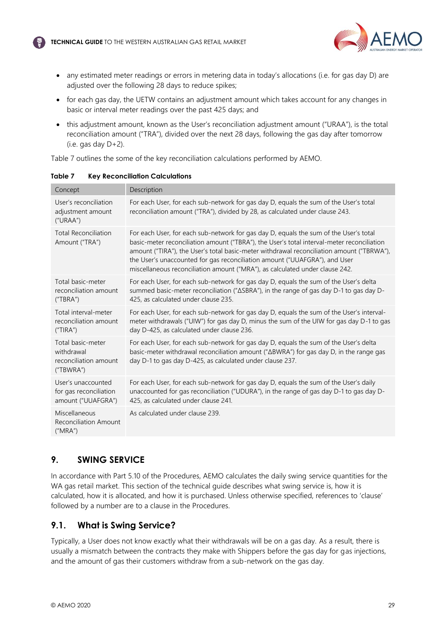

- any estimated meter readings or errors in metering data in today's allocations (i.e. for gas day D) are adjusted over the following 28 days to reduce spikes;
- for each gas day, the UETW contains an adjustment amount which takes account for any changes in basic or interval meter readings over the past 425 days; and
- this adjustment amount, known as the User's reconciliation adjustment amount ("URAA"), is the total reconciliation amount ("TRA"), divided over the next 28 days, following the gas day after tomorrow (i.e. gas day D+2).

Table 7 outlines the some of the key reconciliation calculations performed by AEMO.

| Concept                                                               | Description                                                                                                                                                                                                                                                                                                                                                                                                                                    |
|-----------------------------------------------------------------------|------------------------------------------------------------------------------------------------------------------------------------------------------------------------------------------------------------------------------------------------------------------------------------------------------------------------------------------------------------------------------------------------------------------------------------------------|
| User's reconciliation<br>adjustment amount<br>("URAA")                | For each User, for each sub-network for gas day D, equals the sum of the User's total<br>reconciliation amount ("TRA"), divided by 28, as calculated under clause 243.                                                                                                                                                                                                                                                                         |
| <b>Total Reconciliation</b><br>Amount ("TRA")                         | For each User, for each sub-network for gas day D, equals the sum of the User's total<br>basic-meter reconciliation amount ("TBRA"), the User's total interval-meter reconciliation<br>amount ("TIRA"), the User's total basic-meter withdrawal reconciliation amount ("TBRWA"),<br>the User's unaccounted for gas reconciliation amount ("UUAFGRA"), and User<br>miscellaneous reconciliation amount ("MRA"), as calculated under clause 242. |
| Total basic-meter<br>reconciliation amount<br>("TBRA")                | For each User, for each sub-network for gas day D, equals the sum of the User's delta<br>summed basic-meter reconciliation (" $\triangle$ SBRA"), in the range of gas day D-1 to gas day D-<br>425, as calculated under clause 235.                                                                                                                                                                                                            |
| Total interval-meter<br>reconciliation amount<br>("TIRA")             | For each User, for each sub-network for gas day D, equals the sum of the User's interval-<br>meter withdrawals ("UIW") for gas day D, minus the sum of the UIW for gas day D-1 to gas<br>day D-425, as calculated under clause 236.                                                                                                                                                                                                            |
| Total basic-meter<br>withdrawal<br>reconciliation amount<br>("TBWRA") | For each User, for each sub-network for gas day D, equals the sum of the User's delta<br>basic-meter withdrawal reconciliation amount ("ABWRA") for gas day D, in the range gas<br>day D-1 to gas day D-425, as calculated under clause 237.                                                                                                                                                                                                   |
| User's unaccounted<br>for gas reconciliation<br>amount ("UUAFGRA")    | For each User, for each sub-network for gas day D, equals the sum of the User's daily<br>unaccounted for gas reconciliation ("UDURA"), in the range of gas day D-1 to gas day D-<br>425, as calculated under clause 241.                                                                                                                                                                                                                       |
| Miscellaneous<br><b>Reconciliation Amount</b><br>("MRA")              | As calculated under clause 239.                                                                                                                                                                                                                                                                                                                                                                                                                |
|                                                                       |                                                                                                                                                                                                                                                                                                                                                                                                                                                |

**Table 7 Key Reconciliation Calculations**

## <span id="page-29-0"></span>**9. SWING SERVICE**

In accordance with Part 5.10 of the Procedures, AEMO calculates the daily swing service quantities for the WA gas retail market. This section of the technical guide describes what swing service is, how it is calculated, how it is allocated, and how it is purchased. Unless otherwise specified, references to 'clause' followed by a number are to a clause in the Procedures.

# <span id="page-29-1"></span>**9.1. What is Swing Service?**

Typically, a User does not know exactly what their withdrawals will be on a gas day. As a result, there is usually a mismatch between the contracts they make with Shippers before the gas day for gas injections, and the amount of gas their customers withdraw from a sub-network on the gas day.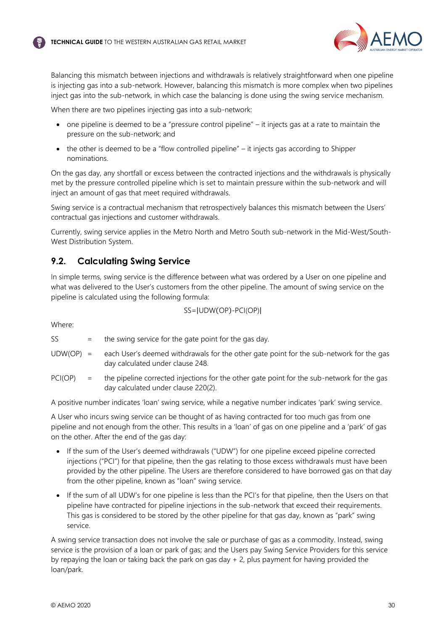

Balancing this mismatch between injections and withdrawals is relatively straightforward when one pipeline is injecting gas into a sub-network. However, balancing this mismatch is more complex when two pipelines inject gas into the sub-network, in which case the balancing is done using the swing service mechanism.

When there are two pipelines injecting gas into a sub-network:

- one pipeline is deemed to be a "pressure control pipeline" it injects gas at a rate to maintain the pressure on the sub-network; and
- the other is deemed to be a "flow controlled pipeline" it injects gas according to Shipper nominations.

On the gas day, any shortfall or excess between the contracted injections and the withdrawals is physically met by the pressure controlled pipeline which is set to maintain pressure within the sub-network and will inject an amount of gas that meet required withdrawals.

Swing service is a contractual mechanism that retrospectively balances this mismatch between the Users' contractual gas injections and customer withdrawals.

Currently, swing service applies in the Metro North and Metro South sub-network in the Mid-West/South-West Distribution System.

## <span id="page-30-0"></span>**9.2. Calculating Swing Service**

In simple terms, swing service is the difference between what was ordered by a User on one pipeline and what was delivered to the User's customers from the other pipeline. The amount of swing service on the pipeline is calculated using the following formula:

SS=|UDW(OP)-PCI(OP)|

Where:

- $SS =$  the swing service for the gate point for the gas day.
- UDW(OP) = each User's deemed withdrawals for the other gate point for the sub-network for the gas day calculated under clause 248.
- PCI(OP) = the pipeline corrected injections for the other gate point for the sub-network for the gas day calculated under clause 220(2).

A positive number indicates 'loan' swing service, while a negative number indicates 'park' swing service.

A User who incurs swing service can be thought of as having contracted for too much gas from one pipeline and not enough from the other. This results in a 'loan' of gas on one pipeline and a 'park' of gas on the other. After the end of the gas day:

- If the sum of the User's deemed withdrawals ("UDW") for one pipeline exceed pipeline corrected injections ("PCI") for that pipeline, then the gas relating to those excess withdrawals must have been provided by the other pipeline. The Users are therefore considered to have borrowed gas on that day from the other pipeline, known as "loan" swing service.
- If the sum of all UDW's for one pipeline is less than the PCI's for that pipeline, then the Users on that pipeline have contracted for pipeline injections in the sub-network that exceed their requirements. This gas is considered to be stored by the other pipeline for that gas day, known as "park" swing service.

A swing service transaction does not involve the sale or purchase of gas as a commodity. Instead, swing service is the provision of a loan or park of gas; and the Users pay Swing Service Providers for this service by repaying the loan or taking back the park on gas day + 2, plus payment for having provided the loan/park.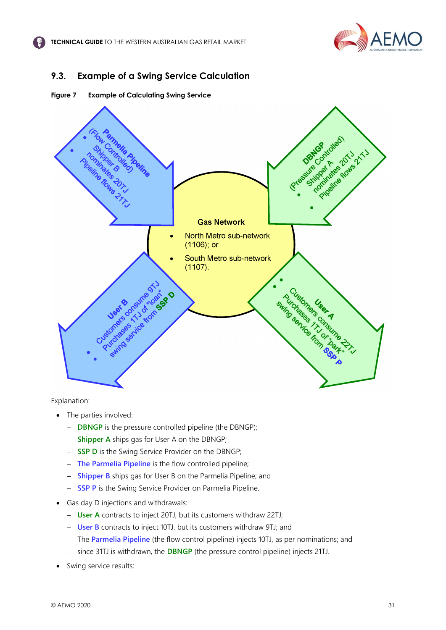

## <span id="page-31-0"></span>**9.3. Example of a Swing Service Calculation**

**Figure 7 Example of Calculating Swing Service**



Explanation:

- The parties involved:
	- − **DBNGP** is the pressure controlled pipeline (the DBNGP);
	- − **Shipper A** ships gas for User A on the DBNGP;
	- − **SSP D** is the Swing Service Provider on the DBNGP;
	- − **The Parmelia Pipeline** is the flow controlled pipeline;
	- − **Shipper B** ships gas for User B on the Parmelia Pipeline; and
	- − **SSP P** is the Swing Service Provider on Parmelia Pipeline.
- Gas day D injections and withdrawals:
	- − **User A** contracts to inject 20TJ, but its customers withdraw 22TJ;
	- − **User B** contracts to inject 10TJ, but its customers withdraw 9TJ; and
	- − The **Parmelia Pipeline** (the flow control pipeline) injects 10TJ, as per nominations; and
	- − since 31TJ is withdrawn, the **DBNGP** (the pressure control pipeline) injects 21TJ.
- Swing service results: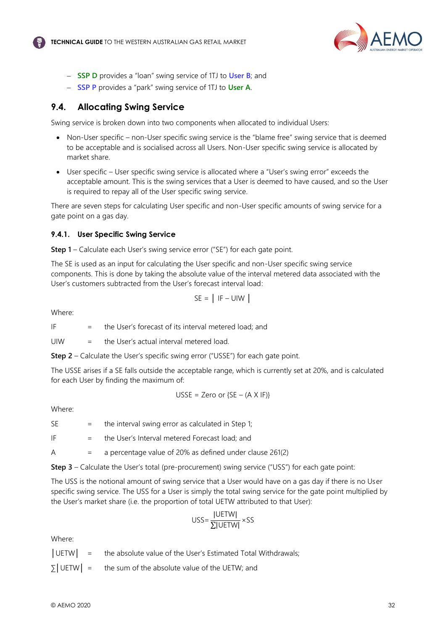

- − **SSP D** provides a "loan" swing service of 1TJ to **User B**; and
- − **SSP P** provides a "park" swing service of 1TJ to **User A**.

## <span id="page-32-0"></span>**9.4. Allocating Swing Service**

Swing service is broken down into two components when allocated to individual Users:

- Non-User specific non-User specific swing service is the "blame free" swing service that is deemed to be acceptable and is socialised across all Users. Non-User specific swing service is allocated by market share.
- User specific User specific swing service is allocated where a "User's swing error" exceeds the acceptable amount. This is the swing services that a User is deemed to have caused, and so the User is required to repay all of the User specific swing service.

There are seven steps for calculating User specific and non-User specific amounts of swing service for a gate point on a gas day.

## **9.4.1. User Specific Swing Service**

**Step 1** – Calculate each User's swing service error ("SE") for each gate point.

The SE is used as an input for calculating the User specific and non-User specific swing service components. This is done by taking the absolute value of the interval metered data associated with the User's customers subtracted from the User's forecast interval load:

$$
SE = | IF - UIW|
$$

Where:

IF  $=$  the User's forecast of its interval metered load; and

UIW  $=$  the User's actual interval metered load.

**Step 2** – Calculate the User's specific swing error ("USSE") for each gate point.

The USSE arises if a SE falls outside the acceptable range, which is currently set at 20%, and is calculated for each User by finding the maximum of:

$$
USSE = Zero \ or \ {SE - (A \ X \ IF)} \}
$$

Where:

 $SE$  = the interval swing error as calculated in Step 1;

IF  $=$  the User's Interval metered Forecast load; and

A = a percentage value of 20% as defined under clause 261(2)

**Step 3** – Calculate the User's total (pre-procurement) swing service ("USS") for each gate point:

The USS is the notional amount of swing service that a User would have on a gas day if there is no User specific swing service. The USS for a User is simply the total swing service for the gate point multiplied by the User's market share (i.e. the proportion of total UETW attributed to that User):

$$
USS = \frac{|UETW|}{\sum |UETW|} \times SS
$$

Where:

│UETW│ = the absolute value of the User's Estimated Total Withdrawals;

 $\sum$  UETW = the sum of the absolute value of the UETW; and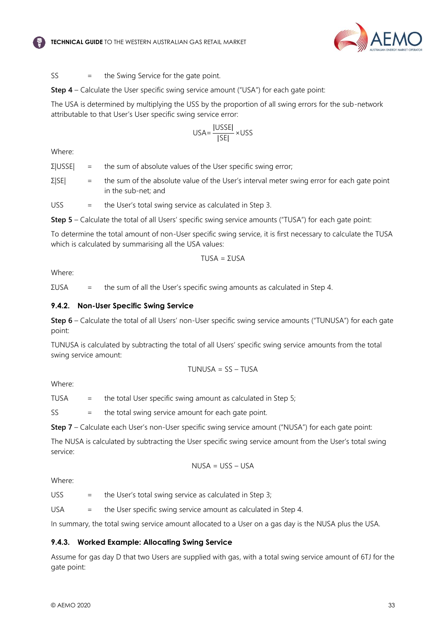



$$
SS = the Swing Service for the gate point.
$$

**Step 4** – Calculate the User specific swing service amount ("USA") for each gate point:

The USA is determined by multiplying the USS by the proportion of all swing errors for the sub-network attributable to that User's User specific swing service error:

$$
USA = \frac{|USSE|}{|SE|} \times USS
$$

Where:

 $\Sigma$ |USSE| = the sum of absolute values of the User specific swing error;

 $\Sigma$ |SE| = the sum of the absolute value of the User's interval meter swing error for each gate point in the sub-net; and

 $USS =$  the User's total swing service as calculated in Step 3.

**Step 5** – Calculate the total of all Users' specific swing service amounts ("TUSA") for each gate point:

To determine the total amount of non-User specific swing service, it is first necessary to calculate the TUSA which is calculated by summarising all the USA values:

$$
TUSA = \Sigma USA
$$

Where:

 $\Sigma$ USA = the sum of all the User's specific swing amounts as calculated in Step 4.

#### **9.4.2. Non-User Specific Swing Service**

**Step 6** – Calculate the total of all Users' non-User specific swing service amounts ("TUNUSA") for each gate point:

TUNUSA is calculated by subtracting the total of all Users' specific swing service amounts from the total swing service amount:

$$
TUNUSA = SS - TUSA
$$

Where:

TUSA  $=$  the total User specific swing amount as calculated in Step 5;

SS = the total swing service amount for each gate point.

**Step 7** – Calculate each User's non-User specific swing service amount ("NUSA") for each gate point:

The NUSA is calculated by subtracting the User specific swing service amount from the User's total swing service:

$$
NUSA = USS - USA
$$

Where:

USS  $=$  the User's total swing service as calculated in Step 3;

USA = the User specific swing service amount as calculated in Step 4.

In summary, the total swing service amount allocated to a User on a gas day is the NUSA plus the USA.

#### **9.4.3. Worked Example: Allocating Swing Service**

Assume for gas day D that two Users are supplied with gas, with a total swing service amount of 6TJ for the gate point: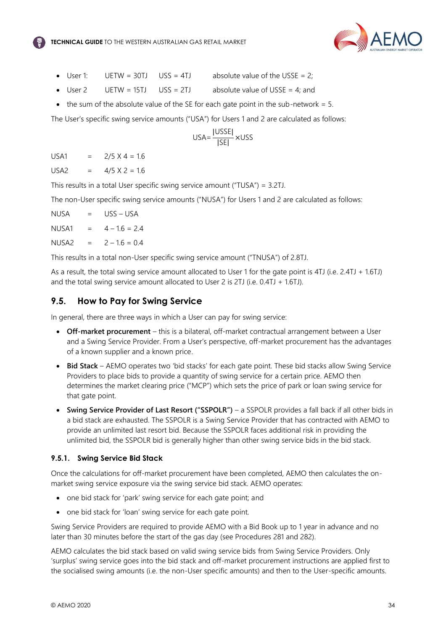

- User 1: UETW = 30TJ USS = 4TJ absolute value of the USSE = 2;
- User 2 UETW = 15TJ USS = 2TJ absolute value of USSE = 4; and
- the sum of the absolute value of the SE for each gate point in the sub-network  $= 5$ .

The User's specific swing service amounts ("USA") for Users 1 and 2 are calculated as follows:

$$
USA = \frac{|USSE|}{|SE|} \times USS
$$

 $IISA1 = 2/5 X 4 = 16$ 

 $USA2 = 4/5 \times 2 = 16$ 

This results in a total User specific swing service amount ("TUSA") = 3.2TJ.

The non-User specific swing service amounts ("NUSA") for Users 1 and 2 are calculated as follows:

| NUSA  | $=$ | USS – USA       |
|-------|-----|-----------------|
| NUSA1 | $=$ | $4 - 1.6 = 2.4$ |
| NUSA2 | $=$ | $2 - 1.6 = 0.4$ |

This results in a total non-User specific swing service amount ("TNUSA") of 2.8TJ.

As a result, the total swing service amount allocated to User 1 for the gate point is 4TJ (i.e. 2.4TJ + 1.6TJ) and the total swing service amount allocated to User 2 is 2TJ (i.e. 0.4TJ + 1.6TJ).

## <span id="page-34-0"></span>**9.5. How to Pay for Swing Service**

In general, there are three ways in which a User can pay for swing service:

- **Off-market procurement** this is a bilateral, off-market contractual arrangement between a User and a Swing Service Provider. From a User's perspective, off-market procurement has the advantages of a known supplier and a known price.
- **Bid Stack** AEMO operates two 'bid stacks' for each gate point. These bid stacks allow Swing Service Providers to place bids to provide a quantity of swing service for a certain price. AEMO then determines the market clearing price ("MCP") which sets the price of park or loan swing service for that gate point.
- **Swing Service Provider of Last Resort ("SSPOLR")**  a SSPOLR provides a fall back if all other bids in a bid stack are exhausted. The SSPOLR is a Swing Service Provider that has contracted with AEMO to provide an unlimited last resort bid. Because the SSPOLR faces additional risk in providing the unlimited bid, the SSPOLR bid is generally higher than other swing service bids in the bid stack.

#### **9.5.1. Swing Service Bid Stack**

Once the calculations for off-market procurement have been completed, AEMO then calculates the onmarket swing service exposure via the swing service bid stack. AEMO operates:

- one bid stack for 'park' swing service for each gate point; and
- one bid stack for 'loan' swing service for each gate point.

Swing Service Providers are required to provide AEMO with a Bid Book up to 1 year in advance and no later than 30 minutes before the start of the gas day (see Procedures 281 and 282).

AEMO calculates the bid stack based on valid swing service bids from Swing Service Providers. Only 'surplus' swing service goes into the bid stack and off-market procurement instructions are applied first to the socialised swing amounts (i.e. the non-User specific amounts) and then to the User-specific amounts.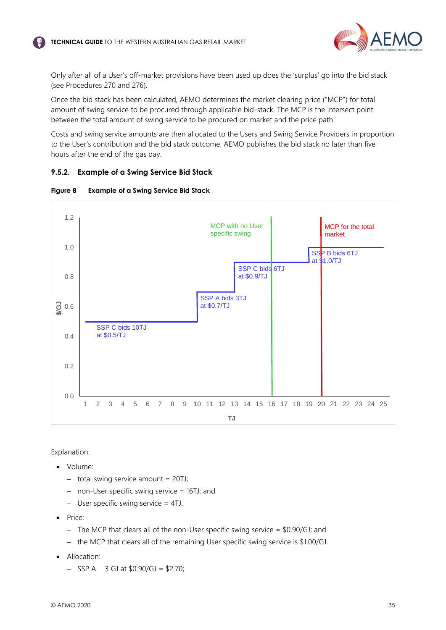

Only after all of a User's off-market provisions have been used up does the 'surplus' go into the bid stack (see Procedures 270 and 276).

Once the bid stack has been calculated, AEMO determines the market clearing price ("MCP") for total amount of swing service to be procured through applicable bid-stack. The MCP is the intersect point between the total amount of swing service to be procured on market and the price path.

Costs and swing service amounts are then allocated to the Users and Swing Service Providers in proportion to the User's contribution and the bid stack outcome. AEMO publishes the bid stack no later than five hours after the end of the gas day.

#### **9.5.2. Example of a Swing Service Bid Stack**



#### **Figure 8 Example of a Swing Service Bid Stack**

Explanation:

- Volume:
	- − total swing service amount = 20TJ;
	- − non-User specific swing service = 16TJ; and
	- − User specific swing service = 4TJ.
- Price:
	- − The MCP that clears all of the non-User specific swing service = \$0.90/GJ; and
	- − the MCP that clears all of the remaining User specific swing service is \$1.00/GJ.
- Allocation:
	- − SSP A 3 GJ at \$0.90/GJ = \$2.70;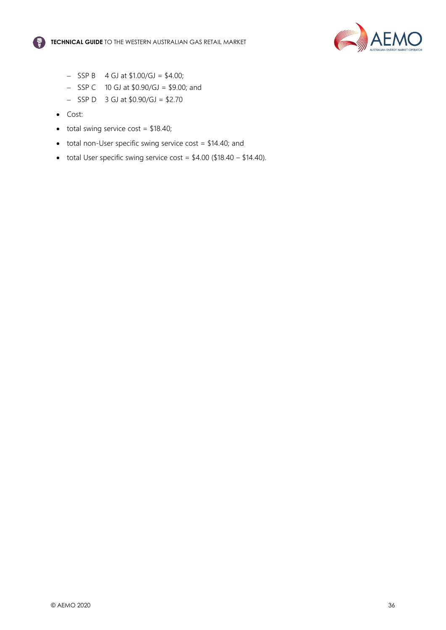



- − SSP B 4 GJ at \$1.00/GJ = \$4.00;
- − SSP C 10 GJ at \$0.90/GJ = \$9.00; and
- − SSP D 3 GJ at \$0.90/GJ = \$2.70
- Cost:
- $\bullet$  total swing service cost = \$18.40;
- total non-User specific swing service cost = \$14.40; and
- total User specific swing service cost =  $$4.00$  ( $$18.40 $14.40$ ).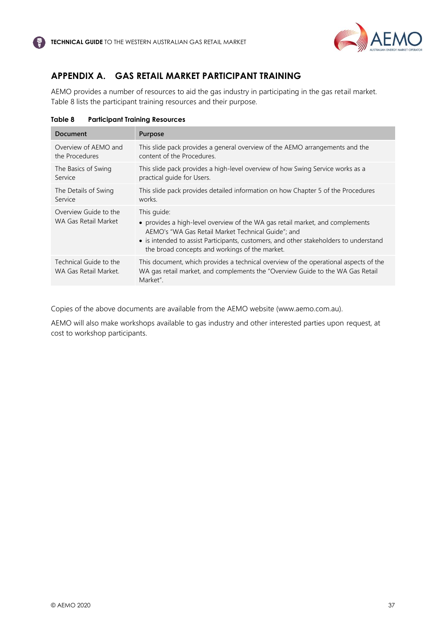

# <span id="page-37-0"></span>**APPENDIX A. GAS RETAIL MARKET PARTICIPANT TRAINING**

AEMO provides a number of resources to aid the gas industry in participating in the gas retail market. Table 8 lists the participant training resources and their purpose.

| <b>Document</b>                                 | Purpose                                                                                                                                                                                                                                                                                       |
|-------------------------------------------------|-----------------------------------------------------------------------------------------------------------------------------------------------------------------------------------------------------------------------------------------------------------------------------------------------|
| Overview of AEMO and                            | This slide pack provides a general overview of the AEMO arrangements and the                                                                                                                                                                                                                  |
| the Procedures                                  | content of the Procedures.                                                                                                                                                                                                                                                                    |
| The Basics of Swing                             | This slide pack provides a high-level overview of how Swing Service works as a                                                                                                                                                                                                                |
| Service                                         | practical quide for Users.                                                                                                                                                                                                                                                                    |
| The Details of Swing                            | This slide pack provides detailed information on how Chapter 5 of the Procedures                                                                                                                                                                                                              |
| Service                                         | works.                                                                                                                                                                                                                                                                                        |
| Overview Guide to the<br>WA Gas Retail Market   | This guide:<br>• provides a high-level overview of the WA gas retail market, and complements<br>AEMO's "WA Gas Retail Market Technical Guide": and<br>• is intended to assist Participants, customers, and other stakeholders to understand<br>the broad concepts and workings of the market. |
| Technical Guide to the<br>WA Gas Retail Market. | This document, which provides a technical overview of the operational aspects of the<br>WA gas retail market, and complements the "Overview Guide to the WA Gas Retail<br>Market".                                                                                                            |

**Table 8 Participant Training Resources**

Copies of the above documents are available from the AEMO website (www.aemo.com.au).

AEMO will also make workshops available to gas industry and other interested parties upon request, at cost to workshop participants.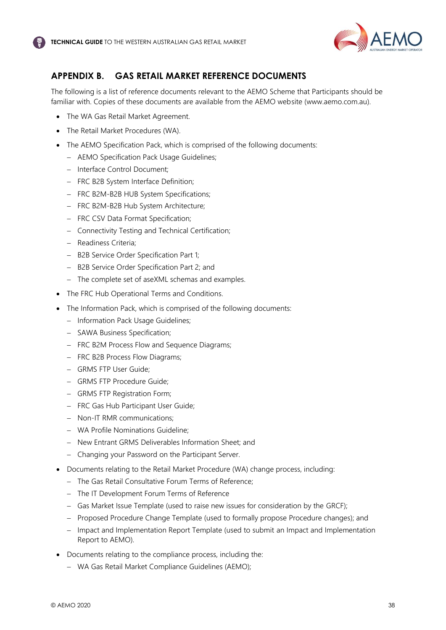

# <span id="page-38-0"></span>**APPENDIX B. GAS RETAIL MARKET REFERENCE DOCUMENTS**

The following is a list of reference documents relevant to the AEMO Scheme that Participants should be familiar with. Copies of these documents are available from the AEMO website (www.aemo.com.au).

- The WA Gas Retail Market Agreement.
- The Retail Market Procedures (WA).
- The AEMO Specification Pack, which is comprised of the following documents:
	- − AEMO Specification Pack Usage Guidelines;
	- − Interface Control Document;
	- − FRC B2B System Interface Definition;
	- − FRC B2M-B2B HUB System Specifications;
	- − FRC B2M-B2B Hub System Architecture;
	- − FRC CSV Data Format Specification;
	- − Connectivity Testing and Technical Certification;
	- − Readiness Criteria;
	- − B2B Service Order Specification Part 1;
	- − B2B Service Order Specification Part 2; and
	- − The complete set of aseXML schemas and examples.
- The FRC Hub Operational Terms and Conditions.
- The Information Pack, which is comprised of the following documents:
	- − Information Pack Usage Guidelines;
	- − SAWA Business Specification;
	- − FRC B2M Process Flow and Sequence Diagrams;
	- − FRC B2B Process Flow Diagrams;
	- − GRMS FTP User Guide;
	- − GRMS FTP Procedure Guide;
	- − GRMS FTP Registration Form;
	- − FRC Gas Hub Participant User Guide;
	- − Non-IT RMR communications;
	- − WA Profile Nominations Guideline;
	- − New Entrant GRMS Deliverables Information Sheet; and
	- − Changing your Password on the Participant Server.
- Documents relating to the Retail Market Procedure (WA) change process, including:
	- − The Gas Retail Consultative Forum Terms of Reference;
	- − The IT Development Forum Terms of Reference
	- − Gas Market Issue Template (used to raise new issues for consideration by the GRCF);
	- − Proposed Procedure Change Template (used to formally propose Procedure changes); and
	- − Impact and Implementation Report Template (used to submit an Impact and Implementation Report to AEMO).
- Documents relating to the compliance process, including the:
	- − WA Gas Retail Market Compliance Guidelines (AEMO);